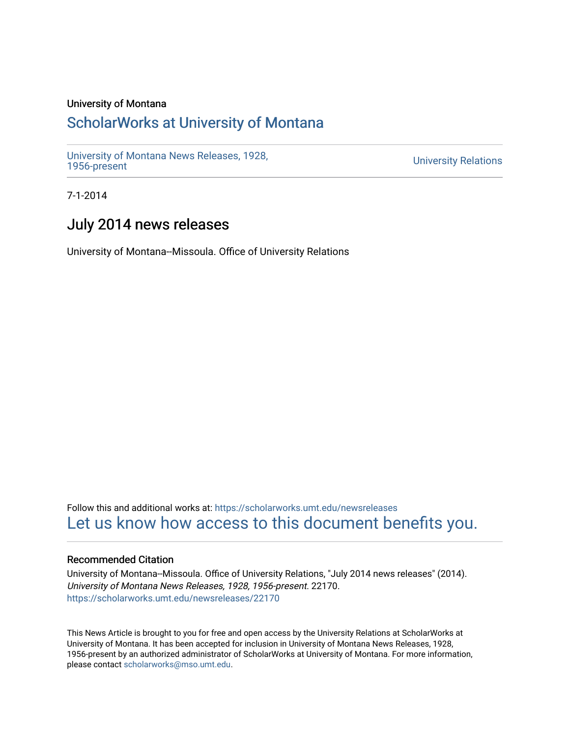#### University of Montana

## [ScholarWorks at University of Montana](https://scholarworks.umt.edu/)

[University of Montana News Releases, 1928,](https://scholarworks.umt.edu/newsreleases) 

**University Relations** 

7-1-2014

## July 2014 news releases

University of Montana--Missoula. Office of University Relations

Follow this and additional works at: [https://scholarworks.umt.edu/newsreleases](https://scholarworks.umt.edu/newsreleases?utm_source=scholarworks.umt.edu%2Fnewsreleases%2F22170&utm_medium=PDF&utm_campaign=PDFCoverPages) [Let us know how access to this document benefits you.](https://goo.gl/forms/s2rGfXOLzz71qgsB2) 

#### Recommended Citation

University of Montana--Missoula. Office of University Relations, "July 2014 news releases" (2014). University of Montana News Releases, 1928, 1956-present. 22170. [https://scholarworks.umt.edu/newsreleases/22170](https://scholarworks.umt.edu/newsreleases/22170?utm_source=scholarworks.umt.edu%2Fnewsreleases%2F22170&utm_medium=PDF&utm_campaign=PDFCoverPages) 

This News Article is brought to you for free and open access by the University Relations at ScholarWorks at University of Montana. It has been accepted for inclusion in University of Montana News Releases, 1928, 1956-present by an authorized administrator of ScholarWorks at University of Montana. For more information, please contact [scholarworks@mso.umt.edu.](mailto:scholarworks@mso.umt.edu)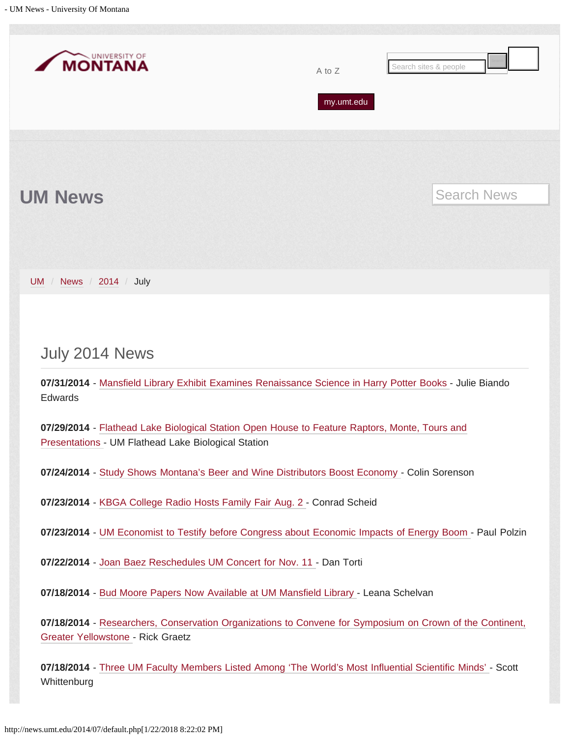<span id="page-1-0"></span>

| <b>UNIVERSITY OF</b><br><b>MONTANA</b>                                                                                                               | A to Z     | Search sites & people |
|------------------------------------------------------------------------------------------------------------------------------------------------------|------------|-----------------------|
|                                                                                                                                                      | my.umt.edu |                       |
|                                                                                                                                                      |            |                       |
| <b>UM News</b>                                                                                                                                       |            | <b>Search News</b>    |
| <b>UM</b><br>News / 2014 /<br>July<br>$\sqrt{2}$                                                                                                     |            |                       |
|                                                                                                                                                      |            |                       |
| July 2014 News                                                                                                                                       |            |                       |
| 07/31/2014 - Mansfield Library Exhibit Examines Renaissance Science in Harry Potter Books - Julie Biando<br>Edwards                                  |            |                       |
| 07/29/2014 - Flathead Lake Biological Station Open House to Feature Raptors, Monte, Tours and<br>Presentations - UM Flathead Lake Biological Station |            |                       |
| 07/24/2014 - Study Shows Montana's Beer and Wine Distributors Boost Economy - Colin Sorenson                                                         |            |                       |
| 07/23/2014 - KBGA College Radio Hosts Family Fair Aug. 2 - Conrad Scheid                                                                             |            |                       |
| 07/23/2014 - UM Economist to Testify before Congress about Economic Impacts of Energy Boom - Paul Polzin                                             |            |                       |
| 07/22/2014 - Joan Baez Reschedules UM Concert for Nov. 11 - Dan Torti                                                                                |            |                       |
| 07/18/2014 - Bud Moore Papers Now Available at UM Mansfield Library - Leana Schelvan                                                                 |            |                       |
| 07/18/2014 - Researchers, Conservation Organizations to Convene for Symposium on Crown of the Continent,<br>Greater Yellowstone - Rick Graetz        |            |                       |
| 07/18/2014 - Three UM Faculty Members Listed Among 'The World's Most Influential Scientific Minds' - Scott<br>Whittenburg                            |            |                       |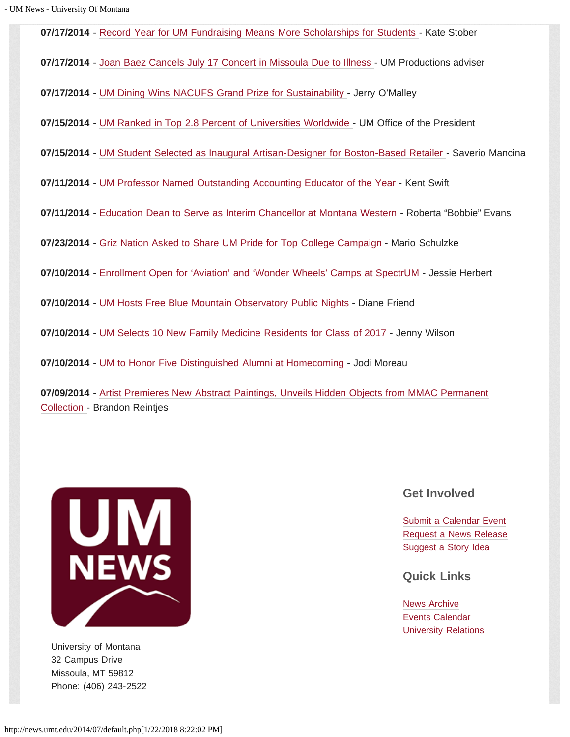**07/17/2014** - [Record Year for UM Fundraising Means More Scholarships for Students -](#page-26-0) Kate Stober

- **07/17/2014** [Joan Baez Cancels July 17 Concert in Missoula Due to Illness -](#page-30-0) UM Productions adviser
- **07/17/2014** [UM Dining Wins NACUFS Grand Prize for Sustainability](#page-32-0)  Jerry O'Malley

**07/15/2014** - [UM Ranked in Top 2.8 Percent of Universities Worldwide](#page-35-0) - UM Office of the President

- **07/15/2014** [UM Student Selected as Inaugural Artisan-Designer for Boston-Based Retailer -](#page-38-0) Saverio Mancina
- **07/11/2014** [UM Professor Named Outstanding Accounting Educator of the Year -](#page-42-0) Kent Swift
- **07/11/2014** [Education Dean to Serve as Interim Chancellor at Montana Western](#page-45-0)  Roberta "Bobbie" Evans
- **07/23/2014** [Griz Nation Asked to Share UM Pride for Top College Campaign -](#page-47-0) Mario Schulzke
- **07/10/2014** [Enrollment Open for 'Aviation' and 'Wonder Wheels' Camps at SpectrUM](#page-49-0)  Jessie Herbert
- **07/10/2014** [UM Hosts Free Blue Mountain Observatory Public Nights -](#page-51-0) Diane Friend
- **07/10/2014** [UM Selects 10 New Family Medicine Residents for Class of 2017 -](#page-53-0) Jenny Wilson
- **07/10/2014** [UM to Honor Five Distinguished Alumni at Homecoming](#page-56-0)  Jodi Moreau

**07/09/2014** - [Artist Premieres New Abstract Paintings, Unveils Hidden Objects from MMAC Permanent](#page-59-0) [Collection -](#page-59-0) Brandon Reintjes



University of Montana 32 Campus Drive Missoula, MT 59812 Phone: (406) 243-2522

#### **Get Involved**

[Submit a Calendar Event](http://umt.edu/urelations/info/submit_event.php) [Request a News Release](mailto:news@umontana.edu) [Suggest a Story Idea](mailto:thrive@umontana.edu)

#### **Quick Links**

[News Archive](http://www.umt.edu/urelations/pubs/NewsArchives.php) [Events Calendar](http://events.umt.edu/) [University Relations](http://www.umt.edu/urelations/)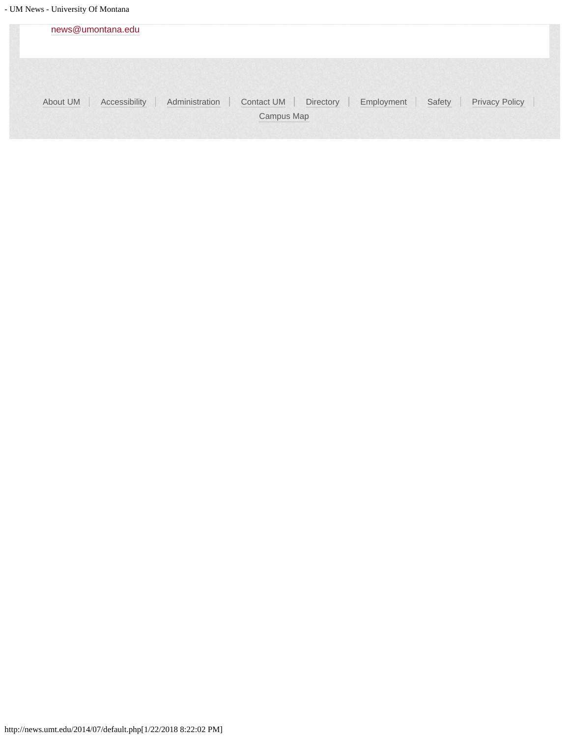| About UM | Accessibility | Administration | Contact UM<br>Campus Map | Directory | Employment | Safety | <b>Privacy Policy</b> |
|----------|---------------|----------------|--------------------------|-----------|------------|--------|-----------------------|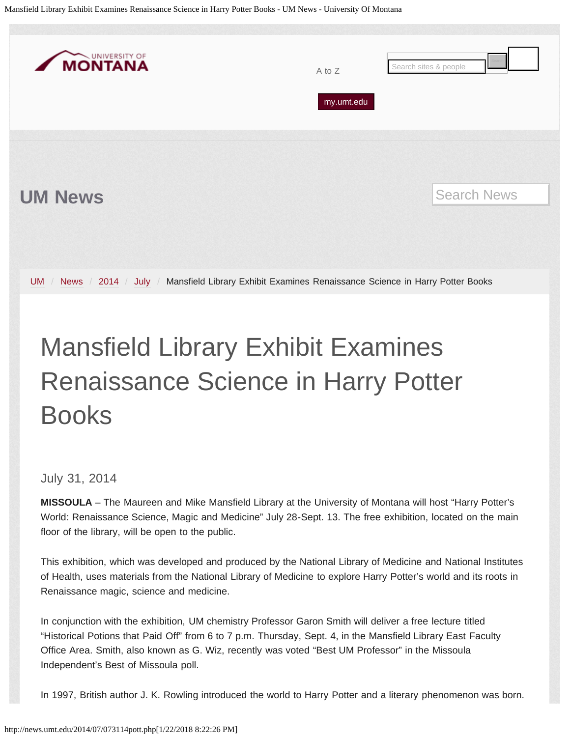<span id="page-4-0"></span>Mansfield Library Exhibit Examines Renaissance Science in Harry Potter Books - UM News - University Of Montana



# Mansfield Library Exhibit Examines Renaissance Science in Harry Potter Books

## July 31, 2014

**MISSOULA** – The Maureen and Mike Mansfield Library at the University of Montana will host "Harry Potter's World: Renaissance Science, Magic and Medicine" July 28-Sept. 13. The free exhibition, located on the main floor of the library, will be open to the public.

This exhibition, which was developed and produced by the National Library of Medicine and National Institutes of Health, uses materials from the National Library of Medicine to explore Harry Potter's world and its roots in Renaissance magic, science and medicine.

In conjunction with the exhibition, UM chemistry Professor Garon Smith will deliver a free lecture titled "Historical Potions that Paid Off" from 6 to 7 p.m. Thursday, Sept. 4, in the Mansfield Library East Faculty Office Area. Smith, also known as G. Wiz, recently was voted "Best UM Professor" in the Missoula Independent's Best of Missoula poll.

In 1997, British author J. K. Rowling introduced the world to Harry Potter and a literary phenomenon was born.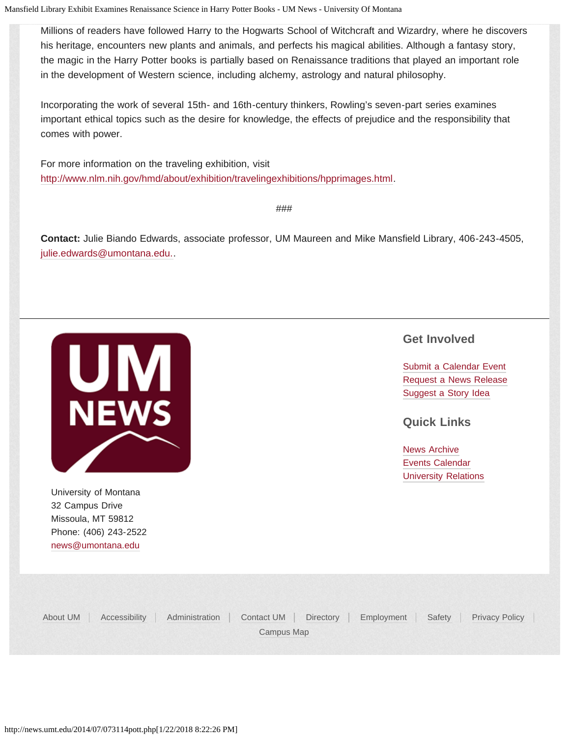Millions of readers have followed Harry to the Hogwarts School of Witchcraft and Wizardry, where he discovers his heritage, encounters new plants and animals, and perfects his magical abilities. Although a fantasy story, the magic in the Harry Potter books is partially based on Renaissance traditions that played an important role in the development of Western science, including alchemy, astrology and natural philosophy.

Incorporating the work of several 15th- and 16th-century thinkers, Rowling's seven-part series examines important ethical topics such as the desire for knowledge, the effects of prejudice and the responsibility that comes with power.

For more information on the traveling exhibition, visit [http://www.nlm.nih.gov/hmd/about/exhibition/travelingexhibitions/hpprimages.html.](http://www.nlm.nih.gov/hmd/about/exhibition/travelingexhibitions/hpprimages.html)

###

**Contact:** Julie Biando Edwards, associate professor, UM Maureen and Mike Mansfield Library, 406-243-4505, [julie.edwards@umontana.edu..](mailto:julie.edwards@umontana.edu.)



University of Montana 32 Campus Drive Missoula, MT 59812 Phone: (406) 243-2522 [news@umontana.edu](mailto:news@umontana.edu)

### **Get Involved**

[Submit a Calendar Event](http://umt.edu/urelations/info/submit_event.php) [Request a News Release](mailto:news@umontana.edu) [Suggest a Story Idea](mailto:thrive@umontana.edu)

**Quick Links**

[News Archive](http://www.umt.edu/urelations/pubs/NewsArchives.php) [Events Calendar](http://events.umt.edu/) [University Relations](http://www.umt.edu/urelations/)

[Campus Map](http://map.umt.edu/)

[About UM](http://www.umt.edu/about) | [Accessibility](http://www.umt.edu/accessibility/) | [Administration](http://www.umt.edu/administration) | [Contact UM](http://www.umt.edu/comments) | [Directory](http://www.umt.edu/directory) | [Employment](http://www.umt.edu/jobs) | [Safety](http://www.umt.edu/safety/) | [Privacy Policy](http://umt.edu/privacy/) |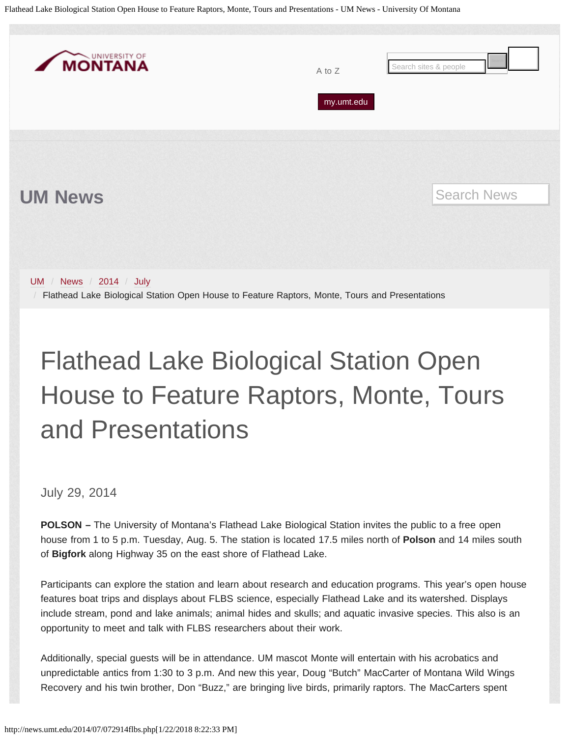<span id="page-6-0"></span>Flathead Lake Biological Station Open House to Feature Raptors, Monte, Tours and Presentations - UM News - University Of Montana



# Flathead Lake Biological Station Open House to Feature Raptors, Monte, Tours and Presentations

### July 29, 2014

**POLSON –** The University of Montana's Flathead Lake Biological Station invites the public to a free open house from 1 to 5 p.m. Tuesday, Aug. 5. The station is located 17.5 miles north of **Polson** and 14 miles south of **Bigfork** along Highway 35 on the east shore of Flathead Lake.

Participants can explore the station and learn about research and education programs. This year's open house features boat trips and displays about FLBS science, especially Flathead Lake and its watershed. Displays include stream, pond and lake animals; animal hides and skulls; and aquatic invasive species. This also is an opportunity to meet and talk with FLBS researchers about their work.

Additionally, special guests will be in attendance. UM mascot Monte will entertain with his acrobatics and unpredictable antics from 1:30 to 3 p.m. And new this year, Doug "Butch" MacCarter of Montana Wild Wings Recovery and his twin brother, Don "Buzz," are bringing live birds, primarily raptors. The MacCarters spent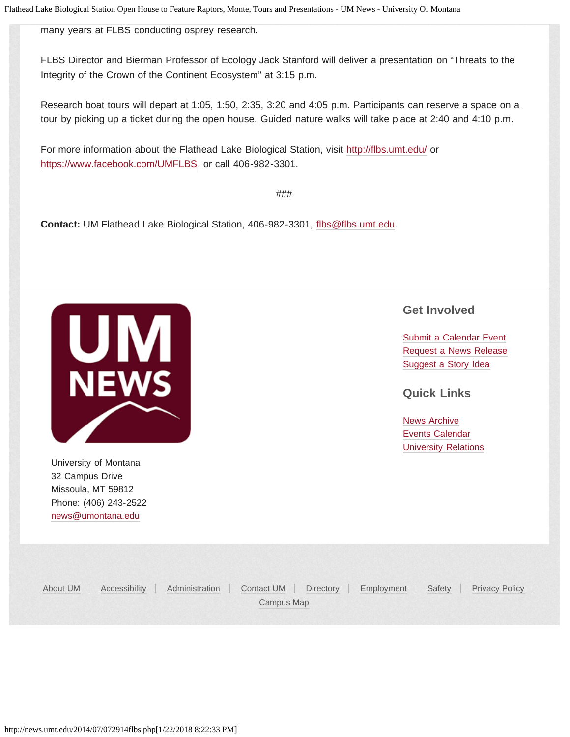many years at FLBS conducting osprey research.

FLBS Director and Bierman Professor of Ecology Jack Stanford will deliver a presentation on "Threats to the Integrity of the Crown of the Continent Ecosystem" at 3:15 p.m.

Research boat tours will depart at 1:05, 1:50, 2:35, 3:20 and 4:05 p.m. Participants can reserve a space on a tour by picking up a ticket during the open house. Guided nature walks will take place at 2:40 and 4:10 p.m.

For more information about the Flathead Lake Biological Station, visit<http://flbs.umt.edu/> or [https://www.facebook.com/UMFLBS,](https://www.facebook.com/UMFLBS) or call 406-982-3301.

###

**Contact:** UM Flathead Lake Biological Station, 406-982-3301, [flbs@flbs.umt.edu.](mailto:flbs@flbs.umt.edu)



University of Montana 32 Campus Drive Missoula, MT 59812 Phone: (406) 243-2522 [news@umontana.edu](mailto:news@umontana.edu)

### **Get Involved**

[Submit a Calendar Event](http://umt.edu/urelations/info/submit_event.php) [Request a News Release](mailto:news@umontana.edu) [Suggest a Story Idea](mailto:thrive@umontana.edu)

### **Quick Links**

[News Archive](http://www.umt.edu/urelations/pubs/NewsArchives.php) [Events Calendar](http://events.umt.edu/) [University Relations](http://www.umt.edu/urelations/)

[About UM](http://www.umt.edu/about) | [Accessibility](http://www.umt.edu/accessibility/) | [Administration](http://www.umt.edu/administration) | [Contact UM](http://www.umt.edu/comments) | [Directory](http://www.umt.edu/directory) | [Employment](http://www.umt.edu/jobs) | [Safety](http://www.umt.edu/safety/) | [Privacy Policy](http://umt.edu/privacy/) [Campus Map](http://map.umt.edu/)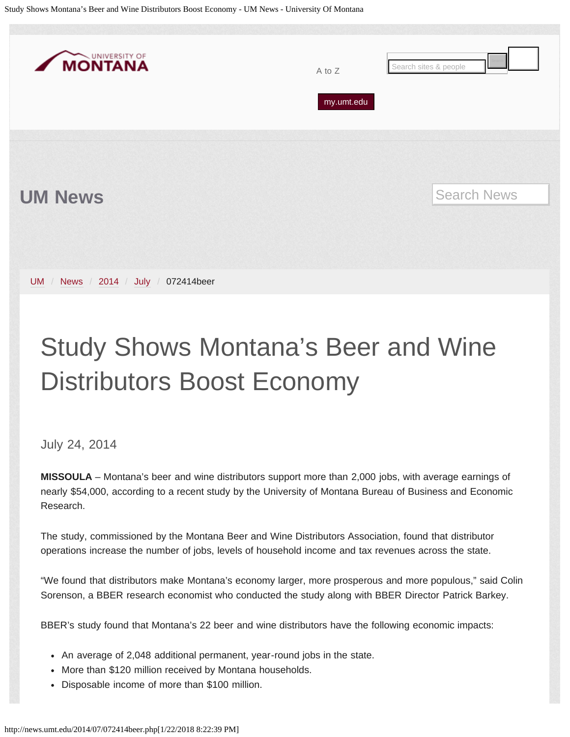<span id="page-8-0"></span>Study Shows Montana's Beer and Wine Distributors Boost Economy - UM News - University Of Montana



## Study Shows Montana's Beer and Wine Distributors Boost Economy

### July 24, 2014

**MISSOULA** – Montana's beer and wine distributors support more than 2,000 jobs, with average earnings of nearly \$54,000, according to a recent study by the University of Montana Bureau of Business and Economic Research.

The study, commissioned by the Montana Beer and Wine Distributors Association, found that distributor operations increase the number of jobs, levels of household income and tax revenues across the state.

"We found that distributors make Montana's economy larger, more prosperous and more populous," said Colin Sorenson, a BBER research economist who conducted the study along with BBER Director Patrick Barkey.

BBER's study found that Montana's 22 beer and wine distributors have the following economic impacts:

- An average of 2,048 additional permanent, year-round jobs in the state.
- More than \$120 million received by Montana households.
- Disposable income of more than \$100 million.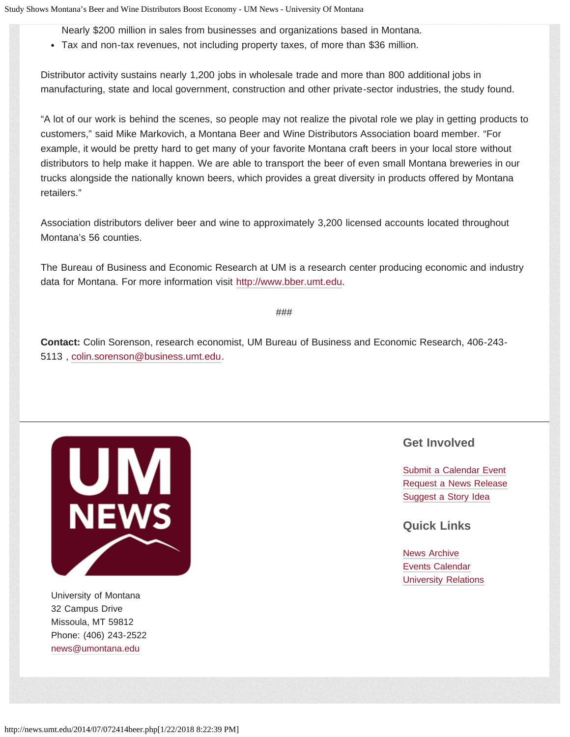Nearly \$200 million in sales from businesses and organizations based in Montana.

Tax and non-tax revenues, not including property taxes, of more than \$36 million.

Distributor activity sustains nearly 1,200 jobs in wholesale trade and more than 800 additional jobs in manufacturing, state and local government, construction and other private-sector industries, the study found.

"A lot of our work is behind the scenes, so people may not realize the pivotal role we play in getting products to customers," said Mike Markovich, a Montana Beer and Wine Distributors Association board member. "For example, it would be pretty hard to get many of your favorite Montana craft beers in your local store without distributors to help make it happen. We are able to transport the beer of even small Montana breweries in our trucks alongside the nationally known beers, which provides a great diversity in products offered by Montana retailers."

Association distributors deliver beer and wine to approximately 3,200 licensed accounts located throughout Montana's 56 counties.

The Bureau of Business and Economic Research at UM is a research center producing economic and industry data for Montana. For more information visit [http://www.bber.umt.edu.](http://www.bber.umt.edu/)

###

**Contact:** Colin Sorenson, research economist, UM Bureau of Business and Economic Research, 406-243- 5113 , [colin.sorenson@business.umt.edu.](mailto:colin.sorenson@business.umt.edu)



University of Montana 32 Campus Drive Missoula, MT 59812 Phone: (406) 243-2522 [news@umontana.edu](mailto:news@umontana.edu)

#### **Get Involved**

[Submit a Calendar Event](http://umt.edu/urelations/info/submit_event.php) [Request a News Release](mailto:news@umontana.edu) [Suggest a Story Idea](mailto:thrive@umontana.edu)

**Quick Links**

[News Archive](http://www.umt.edu/urelations/pubs/NewsArchives.php) [Events Calendar](http://events.umt.edu/) [University Relations](http://www.umt.edu/urelations/)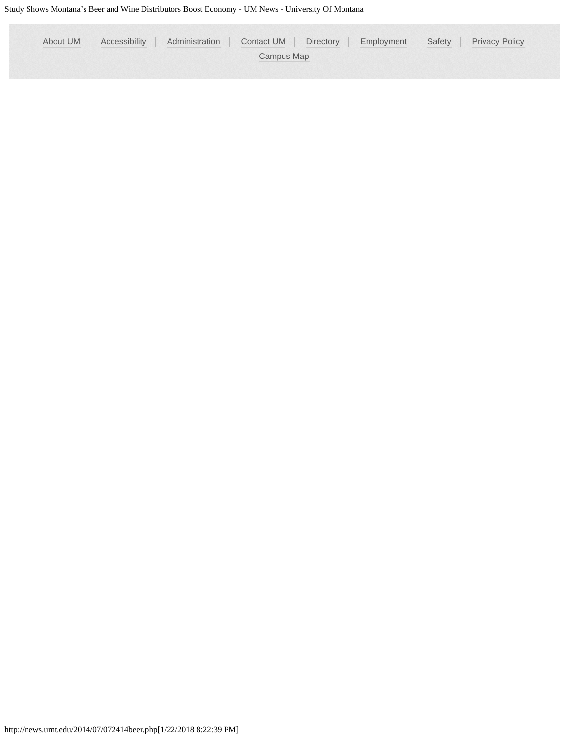|  | About UM   Accessibility   Administration   Contact UM   Directory   Employment   Safety   Privacy Policy |            |  |  |
|--|-----------------------------------------------------------------------------------------------------------|------------|--|--|
|  |                                                                                                           | Campus Map |  |  |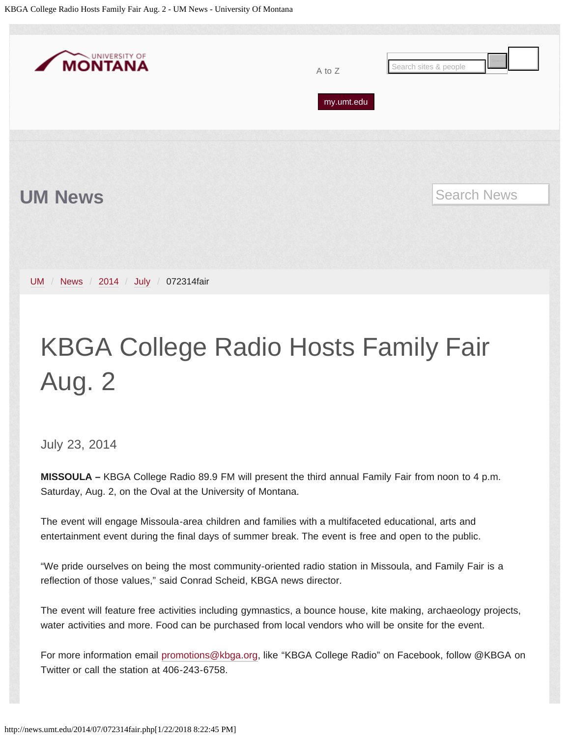<span id="page-11-0"></span>

# KBGA College Radio Hosts Family Fair Aug. 2

July 23, 2014

**MISSOULA –** KBGA College Radio 89.9 FM will present the third annual Family Fair from noon to 4 p.m. Saturday, Aug. 2, on the Oval at the University of Montana.

The event will engage Missoula-area children and families with a multifaceted educational, arts and entertainment event during the final days of summer break. The event is free and open to the public.

"We pride ourselves on being the most community-oriented radio station in Missoula, and Family Fair is a reflection of those values," said Conrad Scheid, KBGA news director.

The event will feature free activities including gymnastics, a bounce house, kite making, archaeology projects, water activities and more. Food can be purchased from local vendors who will be onsite for the event.

For more information email [promotions@kbga.org,](mailto:promotions@kbga.org) like "KBGA College Radio" on Facebook, follow @KBGA on Twitter or call the station at 406-243-6758.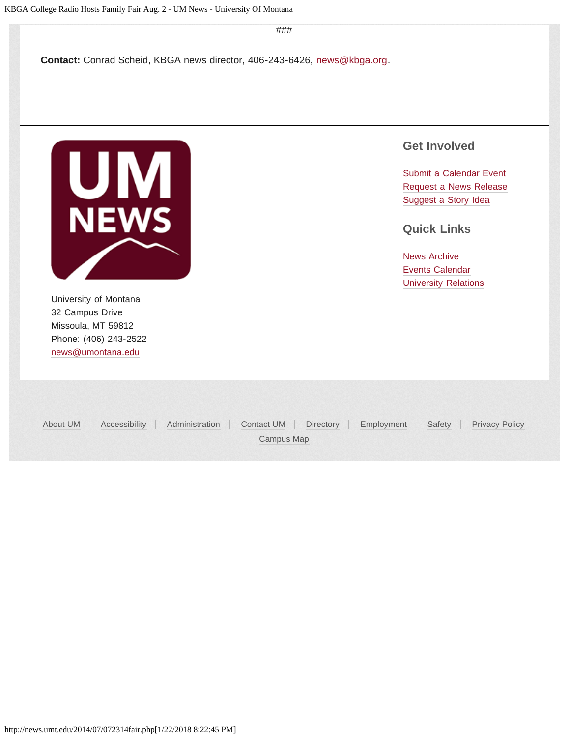###

**Contact:** Conrad Scheid, KBGA news director, 406-243-6426, [news@kbga.org.](mailto:news@kbga.org)

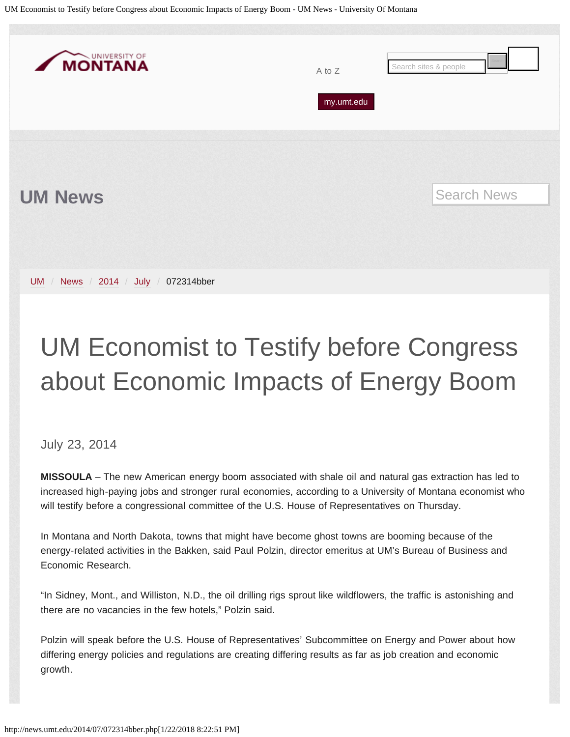<span id="page-13-0"></span>UM Economist to Testify before Congress about Economic Impacts of Energy Boom - UM News - University Of Montana



# UM Economist to Testify before Congress about Economic Impacts of Energy Boom

## July 23, 2014

**MISSOULA** – The new American energy boom associated with shale oil and natural gas extraction has led to increased high-paying jobs and stronger rural economies, according to a University of Montana economist who will testify before a congressional committee of the U.S. House of Representatives on Thursday.

In Montana and North Dakota, towns that might have become ghost towns are booming because of the energy-related activities in the Bakken, said Paul Polzin, director emeritus at UM's Bureau of Business and Economic Research.

"In Sidney, Mont., and Williston, N.D., the oil drilling rigs sprout like wildflowers, the traffic is astonishing and there are no vacancies in the few hotels," Polzin said.

Polzin will speak before the U.S. House of Representatives' Subcommittee on Energy and Power about how differing energy policies and regulations are creating differing results as far as job creation and economic growth.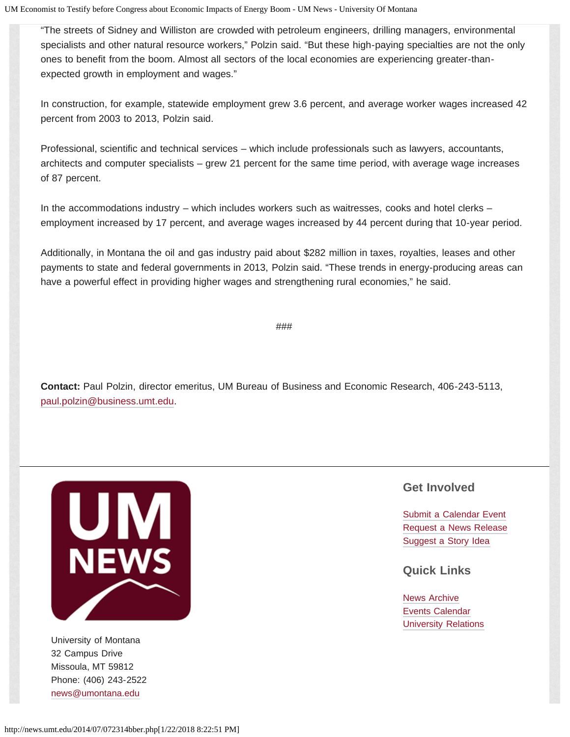"The streets of Sidney and Williston are crowded with petroleum engineers, drilling managers, environmental specialists and other natural resource workers," Polzin said. "But these high-paying specialties are not the only ones to benefit from the boom. Almost all sectors of the local economies are experiencing greater-thanexpected growth in employment and wages."

In construction, for example, statewide employment grew 3.6 percent, and average worker wages increased 42 percent from 2003 to 2013, Polzin said.

Professional, scientific and technical services – which include professionals such as lawyers, accountants, architects and computer specialists – grew 21 percent for the same time period, with average wage increases of 87 percent.

In the accommodations industry – which includes workers such as waitresses, cooks and hotel clerks – employment increased by 17 percent, and average wages increased by 44 percent during that 10-year period.

Additionally, in Montana the oil and gas industry paid about \$282 million in taxes, royalties, leases and other payments to state and federal governments in 2013, Polzin said. "These trends in energy-producing areas can have a powerful effect in providing higher wages and strengthening rural economies," he said.

###

**Contact:** Paul Polzin, director emeritus, UM Bureau of Business and Economic Research, 406-243-5113, [paul.polzin@business.umt.edu](mailto:paul.polzin@business.umt.edu).



University of Montana 32 Campus Drive Missoula, MT 59812 Phone: (406) 243-2522 [news@umontana.edu](mailto:news@umontana.edu)

### **Get Involved**

[Submit a Calendar Event](http://umt.edu/urelations/info/submit_event.php) [Request a News Release](mailto:news@umontana.edu) [Suggest a Story Idea](mailto:thrive@umontana.edu)

### **Quick Links**

[News Archive](http://www.umt.edu/urelations/pubs/NewsArchives.php) [Events Calendar](http://events.umt.edu/) [University Relations](http://www.umt.edu/urelations/)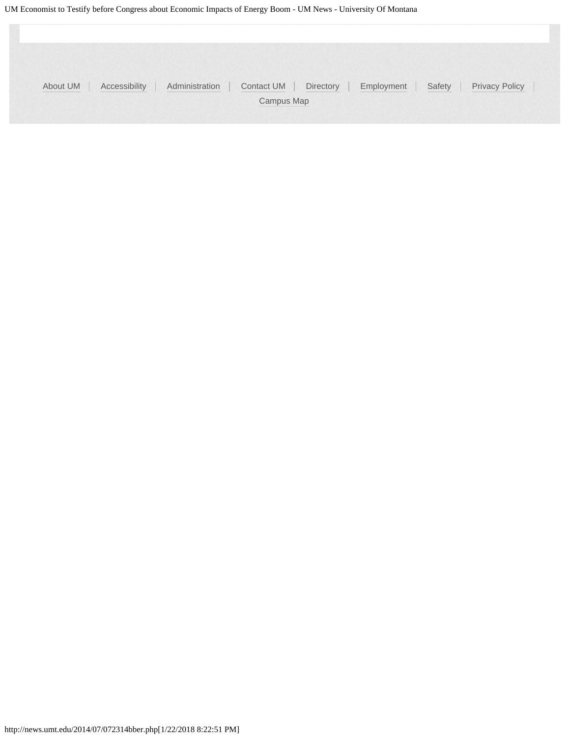| About UM | Accessibility | Administration | Contact UM | Directory | Employment | Safety | <b>Privacy Policy</b> |  |
|----------|---------------|----------------|------------|-----------|------------|--------|-----------------------|--|
|          |               |                | Campus Map |           |            |        |                       |  |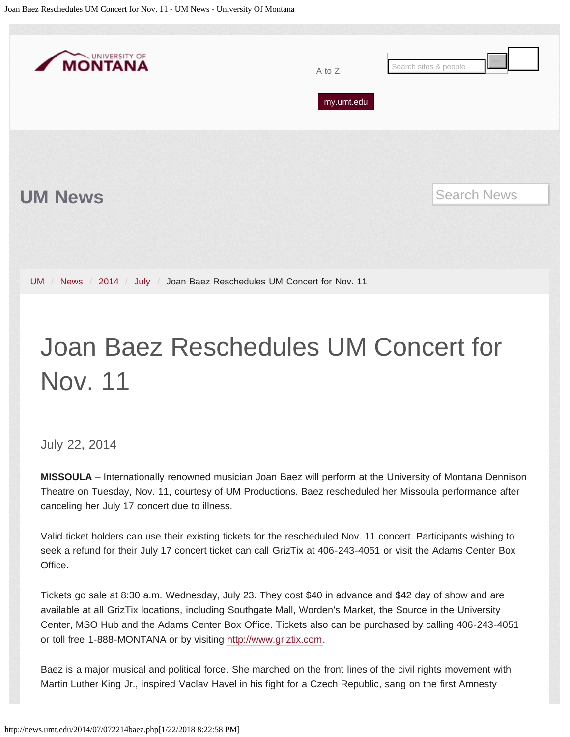<span id="page-16-0"></span>

# Joan Baez Reschedules UM Concert for Nov. 11

July 22, 2014

**MISSOULA** – Internationally renowned musician Joan Baez will perform at the University of Montana Dennison Theatre on Tuesday, Nov. 11, courtesy of UM Productions. Baez rescheduled her Missoula performance after canceling her July 17 concert due to illness.

Valid ticket holders can use their existing tickets for the rescheduled Nov. 11 concert. Participants wishing to seek a refund for their July 17 concert ticket can call GrizTix at 406-243-4051 or visit the Adams Center Box Office.

Tickets go sale at 8:30 a.m. Wednesday, July 23. They cost \$40 in advance and \$42 day of show and are available at all GrizTix locations, including Southgate Mall, Worden's Market, the Source in the University Center, MSO Hub and the Adams Center Box Office. Tickets also can be purchased by calling 406-243-4051 or toll free 1-888-MONTANA or by visiting [http://www.griztix.com.](http://www.griztix.com/)

Baez is a major musical and political force. She marched on the front lines of the civil rights movement with Martin Luther King Jr., inspired Vaclav Havel in his fight for a Czech Republic, sang on the first Amnesty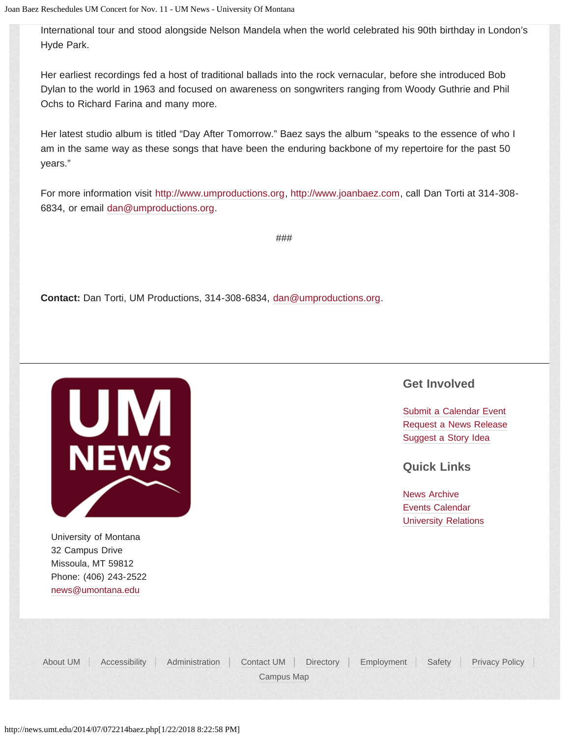International tour and stood alongside Nelson Mandela when the world celebrated his 90th birthday in London's Hyde Park.

Her earliest recordings fed a host of traditional ballads into the rock vernacular, before she introduced Bob Dylan to the world in 1963 and focused on awareness on songwriters ranging from Woody Guthrie and Phil Ochs to Richard Farina and many more.

Her latest studio album is titled "Day After Tomorrow." Baez says the album "speaks to the essence of who I am in the same way as these songs that have been the enduring backbone of my repertoire for the past 50 years."

For more information visit [http://www.umproductions.org,](http://www.umproductions.org/) [http://www.joanbaez.com,](http://www.joanbaez.com/) call Dan Torti at 314-308- 6834, or email [dan@umproductions.org.](mailto:dan@umproductions.org)

###

**Contact:** Dan Torti, UM Productions, 314-308-6834, [dan@umproductions.org.](mailto:dan@umproductions.org)



University of Montana 32 Campus Drive Missoula, MT 59812 Phone: (406) 243-2522 [news@umontana.edu](mailto:news@umontana.edu)

### **Get Involved**

[Submit a Calendar Event](http://umt.edu/urelations/info/submit_event.php) [Request a News Release](mailto:news@umontana.edu) [Suggest a Story Idea](mailto:thrive@umontana.edu)

**Quick Links**

[News Archive](http://www.umt.edu/urelations/pubs/NewsArchives.php) [Events Calendar](http://events.umt.edu/) [University Relations](http://www.umt.edu/urelations/)

[About UM](http://www.umt.edu/about) [Accessibility](http://www.umt.edu/accessibility/) [Administration](http://www.umt.edu/administration) [Contact UM](http://www.umt.edu/comments) [Directory](http://www.umt.edu/directory) [Employment](http://www.umt.edu/jobs) [Safety](http://www.umt.edu/safety/) [Privacy Policy](http://umt.edu/privacy/) [Campus Map](http://map.umt.edu/)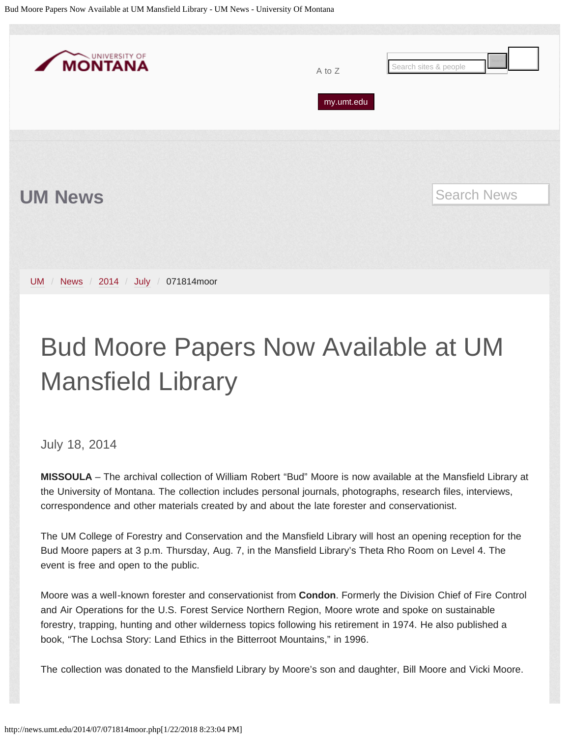<span id="page-18-0"></span>

# Bud Moore Papers Now Available at UM Mansfield Library

## July 18, 2014

**MISSOULA** – The archival collection of William Robert "Bud" Moore is now available at the Mansfield Library at the University of Montana. The collection includes personal journals, photographs, research files, interviews, correspondence and other materials created by and about the late forester and conservationist.

The UM College of Forestry and Conservation and the Mansfield Library will host an opening reception for the Bud Moore papers at 3 p.m. Thursday, Aug. 7, in the Mansfield Library's Theta Rho Room on Level 4. The event is free and open to the public.

Moore was a well-known forester and conservationist from **Condon**. Formerly the Division Chief of Fire Control and Air Operations for the U.S. Forest Service Northern Region, Moore wrote and spoke on sustainable forestry, trapping, hunting and other wilderness topics following his retirement in 1974. He also published a book, "The Lochsa Story: Land Ethics in the Bitterroot Mountains," in 1996.

The collection was donated to the Mansfield Library by Moore's son and daughter, Bill Moore and Vicki Moore.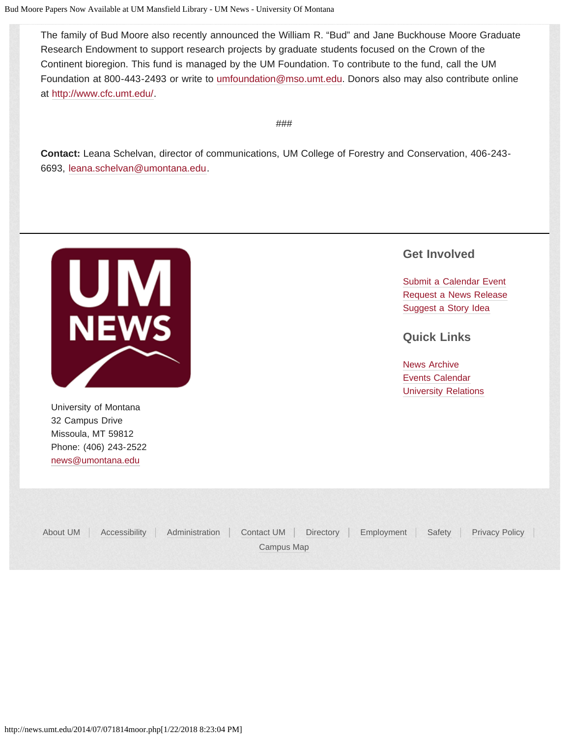The family of Bud Moore also recently announced the William R. "Bud" and Jane Buckhouse Moore Graduate Research Endowment to support research projects by graduate students focused on the Crown of the Continent bioregion. This fund is managed by the UM Foundation. To contribute to the fund, call the UM Foundation at 800-443-2493 or write to [umfoundation@mso.umt.edu.](mailto:umfoundation@mso.umt.edu) Donors also may also contribute online at [http://www.cfc.umt.edu/.](http://www.cfc.umt.edu/)

###

**Contact:** Leana Schelvan, director of communications, UM College of Forestry and Conservation, 406-243- 6693, [leana.schelvan@umontana.edu.](mailto:leana.schelvan@umontana.edu)

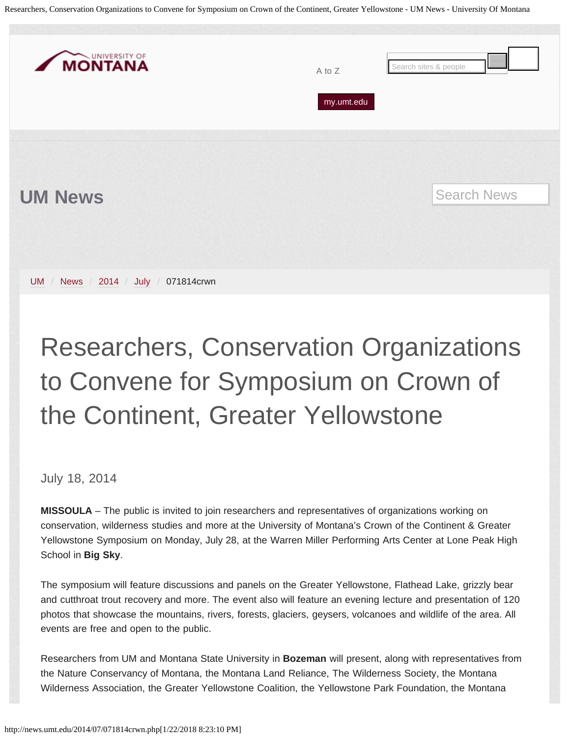<span id="page-20-0"></span>Researchers, Conservation Organizations to Convene for Symposium on Crown of the Continent, Greater Yellowstone - UM News - University Of Montana



# Researchers, Conservation Organizations to Convene for Symposium on Crown of the Continent, Greater Yellowstone

July 18, 2014

**MISSOULA** – The public is invited to join researchers and representatives of organizations working on conservation, wilderness studies and more at the University of Montana's Crown of the Continent & Greater Yellowstone Symposium on Monday, July 28, at the Warren Miller Performing Arts Center at Lone Peak High School in **Big Sky**.

The symposium will feature discussions and panels on the Greater Yellowstone, Flathead Lake, grizzly bear and cutthroat trout recovery and more. The event also will feature an evening lecture and presentation of 120 photos that showcase the mountains, rivers, forests, glaciers, geysers, volcanoes and wildlife of the area. All events are free and open to the public.

Researchers from UM and Montana State University in **Bozeman** will present, along with representatives from the Nature Conservancy of Montana, the Montana Land Reliance, The Wilderness Society, the Montana Wilderness Association, the Greater Yellowstone Coalition, the Yellowstone Park Foundation, the Montana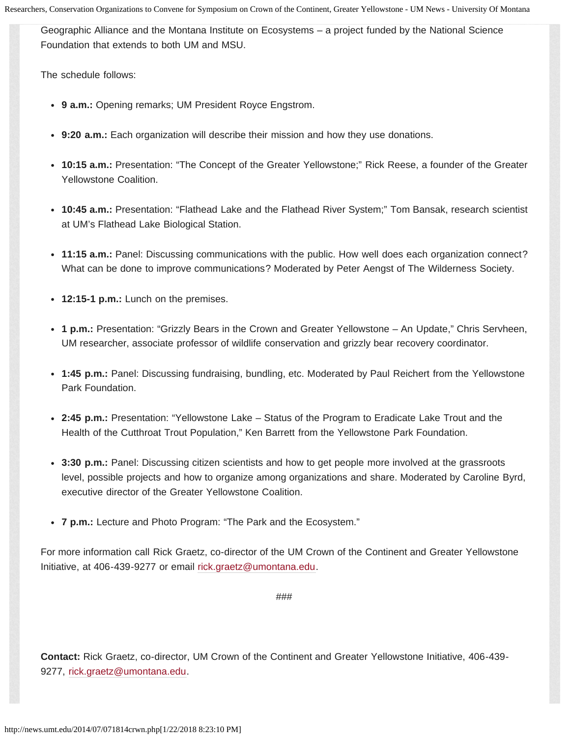Geographic Alliance and the Montana Institute on Ecosystems – a project funded by the National Science Foundation that extends to both UM and MSU.

The schedule follows:

- **9 a.m.:** Opening remarks; UM President Royce Engstrom.
- **9:20 a.m.:** Each organization will describe their mission and how they use donations.
- **10:15 a.m.:** Presentation: "The Concept of the Greater Yellowstone;" Rick Reese, a founder of the Greater Yellowstone Coalition.
- **10:45 a.m.:** Presentation: "Flathead Lake and the Flathead River System;" Tom Bansak, research scientist at UM's Flathead Lake Biological Station.
- **11:15 a.m.:** Panel: Discussing communications with the public. How well does each organization connect? What can be done to improve communications? Moderated by Peter Aengst of The Wilderness Society.
- **12:15-1 p.m.:** Lunch on the premises.
- **1 p.m.:** Presentation: "Grizzly Bears in the Crown and Greater Yellowstone An Update," Chris Servheen, UM researcher, associate professor of wildlife conservation and grizzly bear recovery coordinator.
- **1:45 p.m.:** Panel: Discussing fundraising, bundling, etc. Moderated by Paul Reichert from the Yellowstone Park Foundation.
- **2:45 p.m.:** Presentation: "Yellowstone Lake Status of the Program to Eradicate Lake Trout and the Health of the Cutthroat Trout Population," Ken Barrett from the Yellowstone Park Foundation.
- **3:30 p.m.:** Panel: Discussing citizen scientists and how to get people more involved at the grassroots level, possible projects and how to organize among organizations and share. Moderated by Caroline Byrd, executive director of the Greater Yellowstone Coalition.
- **7 p.m.:** Lecture and Photo Program: "The Park and the Ecosystem."

For more information call Rick Graetz, co-director of the UM Crown of the Continent and Greater Yellowstone Initiative, at 406-439-9277 or email [rick.graetz@umontana.edu.](mailto:rick.graetz@umontana.edu)

###

**Contact:** Rick Graetz, co-director, UM Crown of the Continent and Greater Yellowstone Initiative, 406-439- 9277, [rick.graetz@umontana.edu.](mailto:rick.graetz@umontana.edu)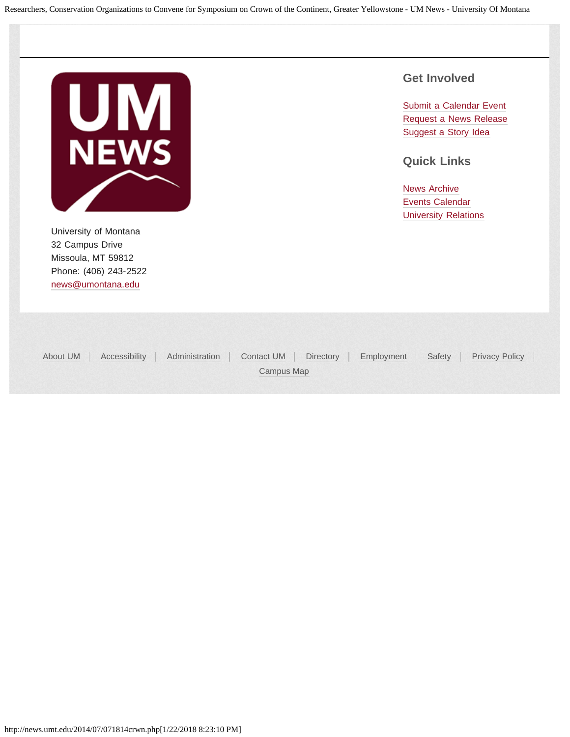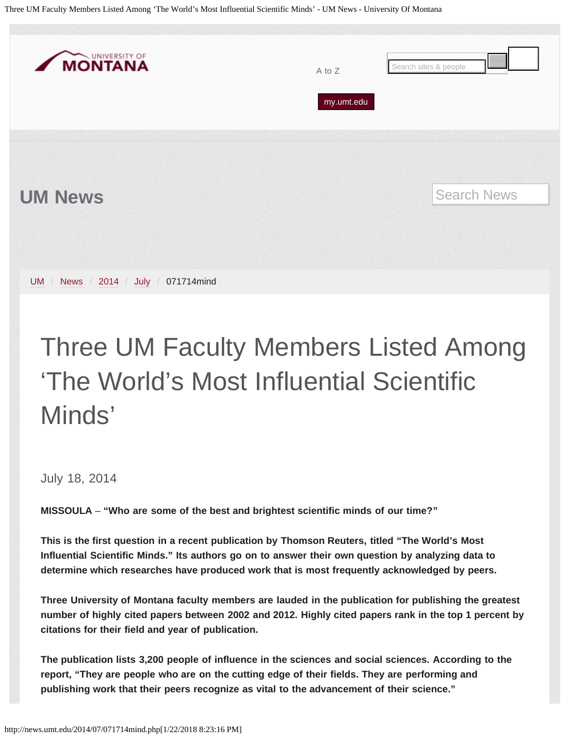<span id="page-23-0"></span>Three UM Faculty Members Listed Among 'The World's Most Influential Scientific Minds' - UM News - University Of Montana



# Three UM Faculty Members Listed Among 'The World's Most Influential Scientific Minds'

### July 18, 2014

**MISSOULA** – **"Who are some of the best and brightest scientific minds of our time?"**

**This is the first question in a recent publication by Thomson Reuters, titled "The World's Most Influential Scientific Minds." Its authors go on to answer their own question by analyzing data to determine which researches have produced work that is most frequently acknowledged by peers.**

**Three University of Montana faculty members are lauded in the publication for publishing the greatest number of highly cited papers between 2002 and 2012. Highly cited papers rank in the top 1 percent by citations for their field and year of publication.**

**The publication lists 3,200 people of influence in the sciences and social sciences. According to the report, "They are people who are on the cutting edge of their fields. They are performing and publishing work that their peers recognize as vital to the advancement of their science."**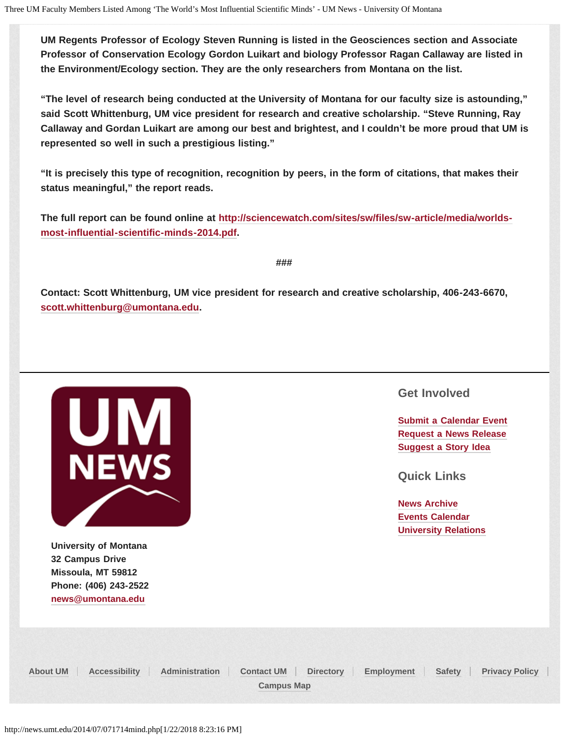**UM Regents Professor of Ecology Steven Running is listed in the Geosciences section and Associate Professor of Conservation Ecology Gordon Luikart and biology Professor Ragan Callaway are listed in the Environment/Ecology section. They are the only researchers from Montana on the list.**

**"The level of research being conducted at the University of Montana for our faculty size is astounding," said Scott Whittenburg, UM vice president for research and creative scholarship. "Steve Running, Ray Callaway and Gordan Luikart are among our best and brightest, and I couldn't be more proud that UM is represented so well in such a prestigious listing."**

**"It is precisely this type of recognition, recognition by peers, in the form of citations, that makes their status meaningful," the report reads.**

**The full report can be found online at [http://sciencewatch.com/sites/sw/files/sw-article/media/worlds](http://sciencewatch.com/sites/sw/files/sw-article/media/worlds-most-influential-scientific-minds-2014.pdf)[most-influential-scientific-minds-2014.pdf.](http://sciencewatch.com/sites/sw/files/sw-article/media/worlds-most-influential-scientific-minds-2014.pdf)**

**###**

**Contact: Scott Whittenburg, UM vice president for research and creative scholarship, 406-243-6670, [scott.whittenburg@umontana.edu.](mailto:scott.whittenburg@umontana.edu)**



**University of Montana 32 Campus Drive Missoula, MT 59812 Phone: (406) 243-2522 [news@umontana.edu](mailto:news@umontana.edu)**

**Get Involved**

**[Submit a Calendar Event](http://umt.edu/urelations/info/submit_event.php) [Request a News Release](mailto:news@umontana.edu) [Suggest a Story Idea](mailto:thrive@umontana.edu)**

**Quick Links**

**[News Archive](http://www.umt.edu/urelations/pubs/NewsArchives.php) [Events Calendar](http://events.umt.edu/) [University Relations](http://www.umt.edu/urelations/)**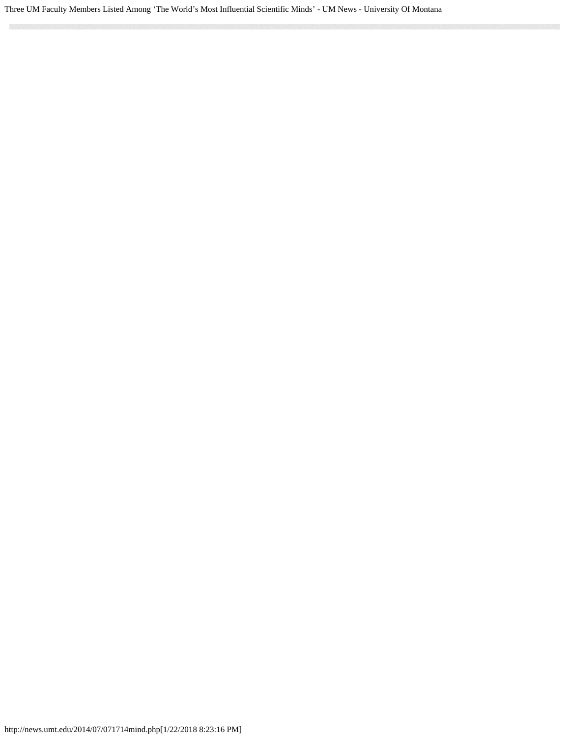$\frac{1}{2}$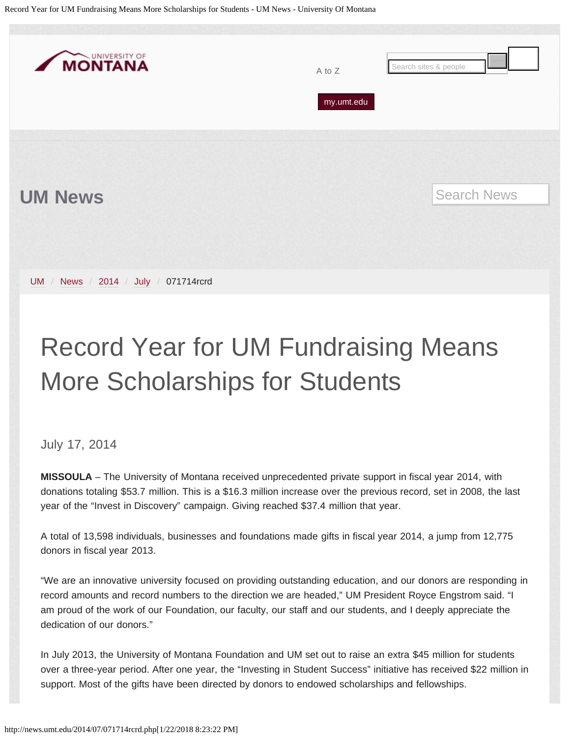<span id="page-26-0"></span>Record Year for UM Fundraising Means More Scholarships for Students - UM News - University Of Montana



## Record Year for UM Fundraising Means More Scholarships for Students

## July 17, 2014

**MISSOULA** – The University of Montana received unprecedented private support in fiscal year 2014, with donations totaling \$53.7 million. This is a \$16.3 million increase over the previous record, set in 2008, the last year of the "Invest in Discovery" campaign. Giving reached \$37.4 million that year.

A total of 13,598 individuals, businesses and foundations made gifts in fiscal year 2014, a jump from 12,775 donors in fiscal year 2013.

"We are an innovative university focused on providing outstanding education, and our donors are responding in record amounts and record numbers to the direction we are headed," UM President Royce Engstrom said. "I am proud of the work of our Foundation, our faculty, our staff and our students, and I deeply appreciate the dedication of our donors."

In July 2013, the University of Montana Foundation and UM set out to raise an extra \$45 million for students over a three-year period. After one year, the "Investing in Student Success" initiative has received \$22 million in support. Most of the gifts have been directed by donors to endowed scholarships and fellowships.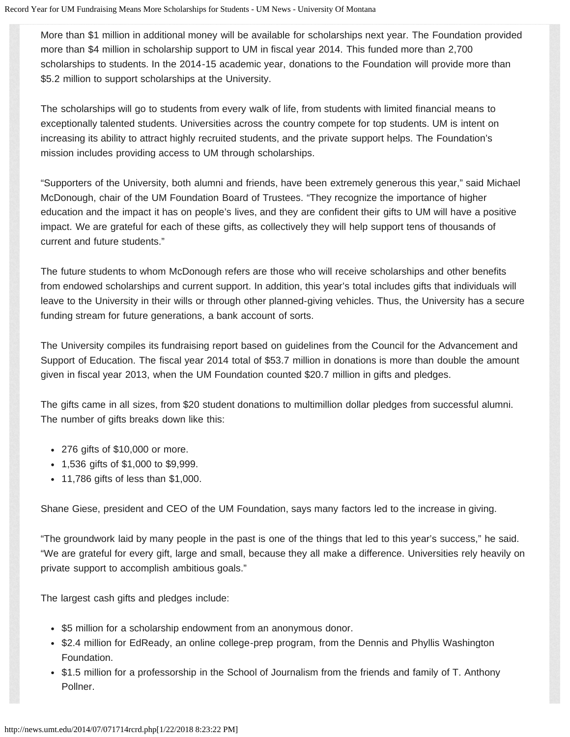More than \$1 million in additional money will be available for scholarships next year. The Foundation provided more than \$4 million in scholarship support to UM in fiscal year 2014. This funded more than 2,700 scholarships to students. In the 2014-15 academic year, donations to the Foundation will provide more than \$5.2 million to support scholarships at the University.

The scholarships will go to students from every walk of life, from students with limited financial means to exceptionally talented students. Universities across the country compete for top students. UM is intent on increasing its ability to attract highly recruited students, and the private support helps. The Foundation's mission includes providing access to UM through scholarships.

"Supporters of the University, both alumni and friends, have been extremely generous this year," said Michael McDonough, chair of the UM Foundation Board of Trustees. "They recognize the importance of higher education and the impact it has on people's lives, and they are confident their gifts to UM will have a positive impact. We are grateful for each of these gifts, as collectively they will help support tens of thousands of current and future students."

The future students to whom McDonough refers are those who will receive scholarships and other benefits from endowed scholarships and current support. In addition, this year's total includes gifts that individuals will leave to the University in their wills or through other planned-giving vehicles. Thus, the University has a secure funding stream for future generations, a bank account of sorts.

The University compiles its fundraising report based on guidelines from the Council for the Advancement and Support of Education. The fiscal year 2014 total of \$53.7 million in donations is more than double the amount given in fiscal year 2013, when the UM Foundation counted \$20.7 million in gifts and pledges.

The gifts came in all sizes, from \$20 student donations to multimillion dollar pledges from successful alumni. The number of gifts breaks down like this:

- 276 gifts of \$10,000 or more.
- 1,536 gifts of \$1,000 to \$9,999.
- 11,786 gifts of less than \$1,000.

Shane Giese, president and CEO of the UM Foundation, says many factors led to the increase in giving.

"The groundwork laid by many people in the past is one of the things that led to this year's success," he said. "We are grateful for every gift, large and small, because they all make a difference. Universities rely heavily on private support to accomplish ambitious goals."

The largest cash gifts and pledges include:

- \$5 million for a scholarship endowment from an anonymous donor.
- \$2.4 million for EdReady, an online college-prep program, from the Dennis and Phyllis Washington Foundation.
- \$1.5 million for a professorship in the School of Journalism from the friends and family of T. Anthony Pollner.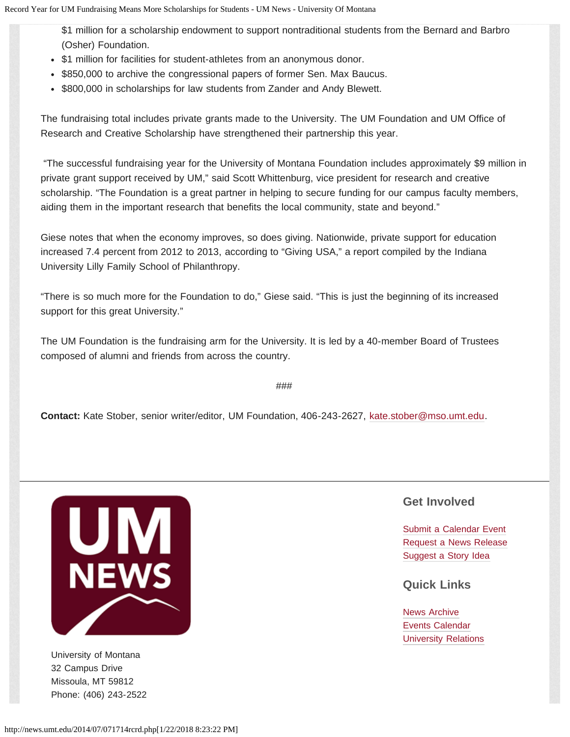\$1 million for a scholarship endowment to support nontraditional students from the Bernard and Barbro (Osher) Foundation.

- \$1 million for facilities for student-athletes from an anonymous donor.
- \$850,000 to archive the congressional papers of former Sen. Max Baucus.
- \$800,000 in scholarships for law students from Zander and Andy Blewett.

The fundraising total includes private grants made to the University. The UM Foundation and UM Office of Research and Creative Scholarship have strengthened their partnership this year.

"The successful fundraising year for the University of Montana Foundation includes approximately \$9 million in private grant support received by UM," said Scott Whittenburg, vice president for research and creative scholarship. "The Foundation is a great partner in helping to secure funding for our campus faculty members, aiding them in the important research that benefits the local community, state and beyond."

Giese notes that when the economy improves, so does giving. Nationwide, private support for education increased 7.4 percent from 2012 to 2013, according to "Giving USA," a report compiled by the Indiana University Lilly Family School of Philanthropy.

"There is so much more for the Foundation to do," Giese said. "This is just the beginning of its increased support for this great University."

The UM Foundation is the fundraising arm for the University. It is led by a 40-member Board of Trustees composed of alumni and friends from across the country.

###

**Contact:** Kate Stober, senior writer/editor, UM Foundation, 406-243-2627, [kate.stober@mso.umt.edu.](mailto:kate.stober@mso.umt.edu)



University of Montana 32 Campus Drive Missoula, MT 59812 Phone: (406) 243-2522

### **Get Involved**

[Submit a Calendar Event](http://umt.edu/urelations/info/submit_event.php) [Request a News Release](mailto:news@umontana.edu) [Suggest a Story Idea](mailto:thrive@umontana.edu)

**Quick Links**

[News Archive](http://www.umt.edu/urelations/pubs/NewsArchives.php) [Events Calendar](http://events.umt.edu/) [University Relations](http://www.umt.edu/urelations/)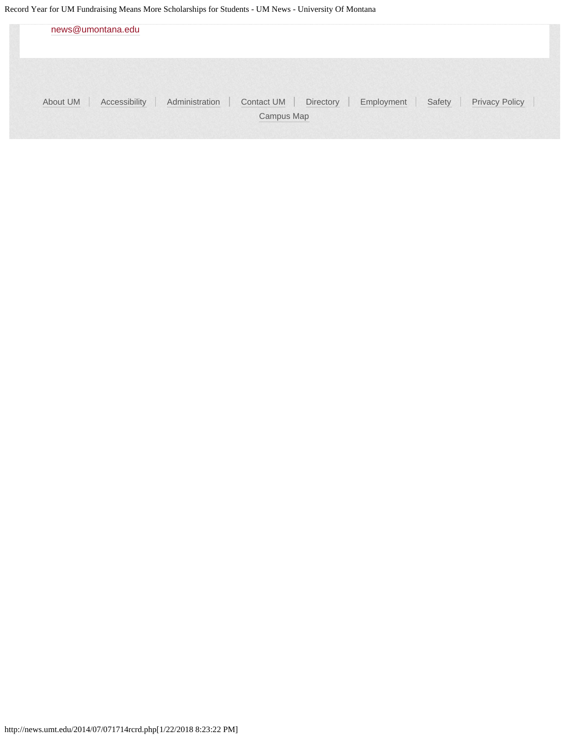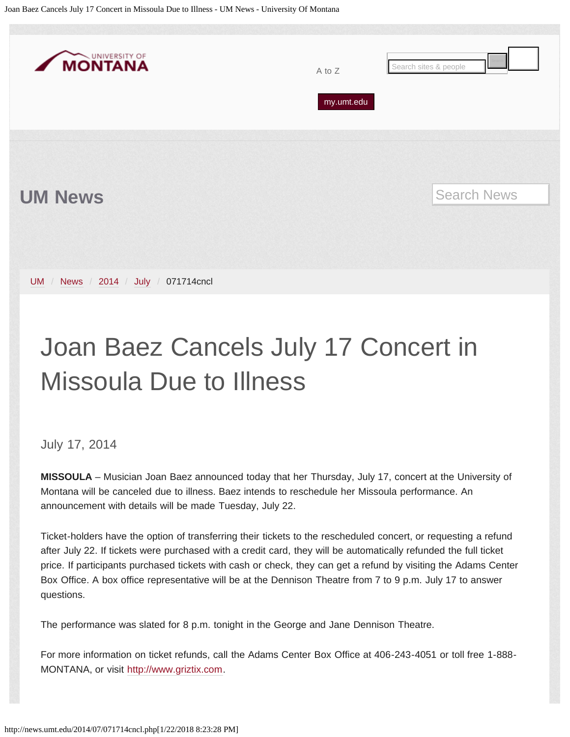<span id="page-30-0"></span>Joan Baez Cancels July 17 Concert in Missoula Due to Illness - UM News - University Of Montana



## Joan Baez Cancels July 17 Concert in Missoula Due to Illness

### July 17, 2014

**MISSOULA** – Musician Joan Baez announced today that her Thursday, July 17, concert at the University of Montana will be canceled due to illness. Baez intends to reschedule her Missoula performance. An announcement with details will be made Tuesday, July 22.

Ticket-holders have the option of transferring their tickets to the rescheduled concert, or requesting a refund after July 22. If tickets were purchased with a credit card, they will be automatically refunded the full ticket price. If participants purchased tickets with cash or check, they can get a refund by visiting the Adams Center Box Office. A box office representative will be at the Dennison Theatre from 7 to 9 p.m. July 17 to answer questions.

The performance was slated for 8 p.m. tonight in the George and Jane Dennison Theatre.

For more information on ticket refunds, call the Adams Center Box Office at 406-243-4051 or toll free 1-888- MONTANA, or visit [http://www.griztix.com.](http://www.griztix.com/)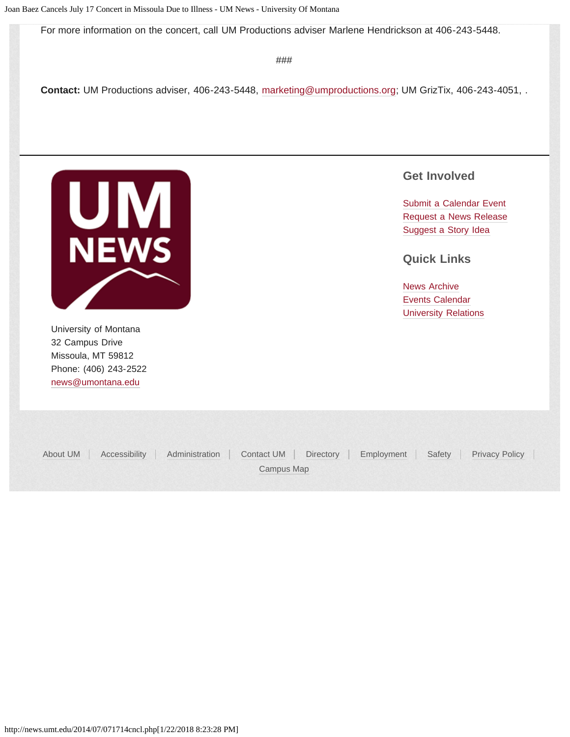For more information on the concert, call UM Productions adviser Marlene Hendrickson at 406-243-5448.

###

**Contact:** UM Productions adviser, 406-243-5448, [marketing@umproductions.org;](mailto:marketing@umproductions.org) UM GrizTix, 406-243-4051, .



University of Montana 32 Campus Drive Missoula, MT 59812 Phone: (406) 243-2522 [news@umontana.edu](mailto:news@umontana.edu)

### **Get Involved**

[Submit a Calendar Event](http://umt.edu/urelations/info/submit_event.php) [Request a News Release](mailto:news@umontana.edu) [Suggest a Story Idea](mailto:thrive@umontana.edu)

### **Quick Links**

[News Archive](http://www.umt.edu/urelations/pubs/NewsArchives.php) [Events Calendar](http://events.umt.edu/) [University Relations](http://www.umt.edu/urelations/)

|  | About UM   Accessibility   Administration   Contact UM   Directory   Employment   Safety   Privacy Policy |            |  |  |
|--|-----------------------------------------------------------------------------------------------------------|------------|--|--|
|  |                                                                                                           | Campus Map |  |  |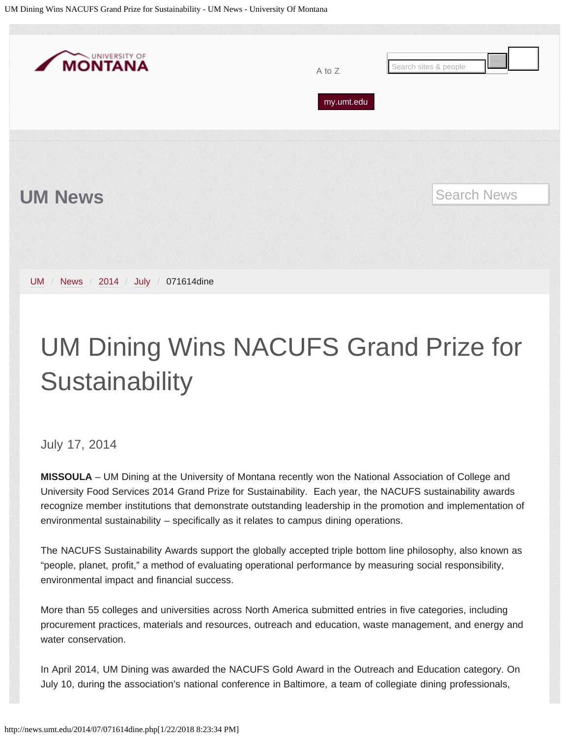<span id="page-32-0"></span>

# UM Dining Wins NACUFS Grand Prize for **Sustainability**

July 17, 2014

**MISSOULA** – UM Dining at the University of Montana recently won the National Association of College and University Food Services 2014 Grand Prize for Sustainability. Each year, the NACUFS sustainability awards recognize member institutions that demonstrate outstanding leadership in the promotion and implementation of environmental sustainability – specifically as it relates to campus dining operations.

The NACUFS Sustainability Awards support the globally accepted triple bottom line philosophy, also known as "people, planet, profit," a method of evaluating operational performance by measuring social responsibility, environmental impact and financial success.

More than 55 colleges and universities across North America submitted entries in five categories, including procurement practices, materials and resources, outreach and education, waste management, and energy and water conservation.

In April 2014, UM Dining was awarded the NACUFS Gold Award in the Outreach and Education category. On July 10, during the association's national conference in Baltimore, a team of collegiate dining professionals,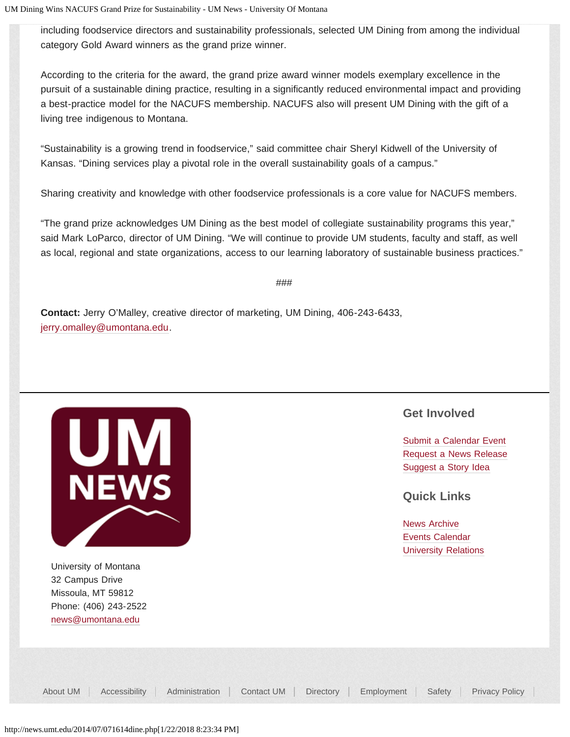including foodservice directors and sustainability professionals, selected UM Dining from among the individual category Gold Award winners as the grand prize winner.

According to the criteria for the award, the grand prize award winner models exemplary excellence in the pursuit of a sustainable dining practice, resulting in a significantly reduced environmental impact and providing a best-practice model for the NACUFS membership. NACUFS also will present UM Dining with the gift of a living tree indigenous to Montana.

"Sustainability is a growing trend in foodservice," said committee chair Sheryl Kidwell of the University of Kansas. "Dining services play a pivotal role in the overall sustainability goals of a campus."

Sharing creativity and knowledge with other foodservice professionals is a core value for NACUFS members.

"The grand prize acknowledges UM Dining as the best model of collegiate sustainability programs this year," said Mark LoParco, director of UM Dining. "We will continue to provide UM students, faculty and staff, as well as local, regional and state organizations, access to our learning laboratory of sustainable business practices."

###

**Contact:** Jerry O'Malley, creative director of marketing, UM Dining, 406-243-6433, [jerry.omalley@umontana.edu.](mailto:jerry.omalley@umontana.edu)



University of Montana 32 Campus Drive Missoula, MT 59812 Phone: (406) 243-2522 [news@umontana.edu](mailto:news@umontana.edu)

### **Get Involved**

[Submit a Calendar Event](http://umt.edu/urelations/info/submit_event.php) [Request a News Release](mailto:news@umontana.edu) [Suggest a Story Idea](mailto:thrive@umontana.edu)

### **Quick Links**

[News Archive](http://www.umt.edu/urelations/pubs/NewsArchives.php) [Events Calendar](http://events.umt.edu/) [University Relations](http://www.umt.edu/urelations/)

[About UM](http://www.umt.edu/about) [Accessibility](http://www.umt.edu/accessibility/) [Administration](http://www.umt.edu/administration) [Contact UM](http://www.umt.edu/comments) [Directory](http://www.umt.edu/directory) [Employment](http://www.umt.edu/jobs) [Safety](http://www.umt.edu/safety/) [Privacy Policy](http://umt.edu/privacy/)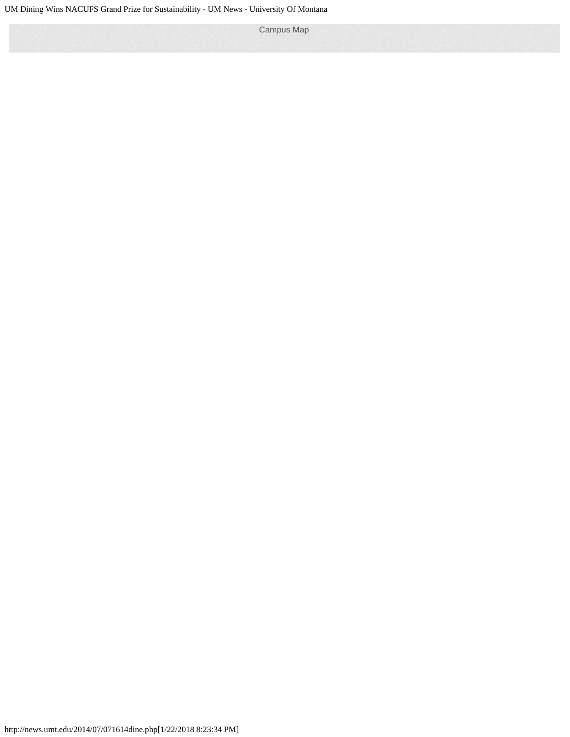[Campus Map](http://map.umt.edu/)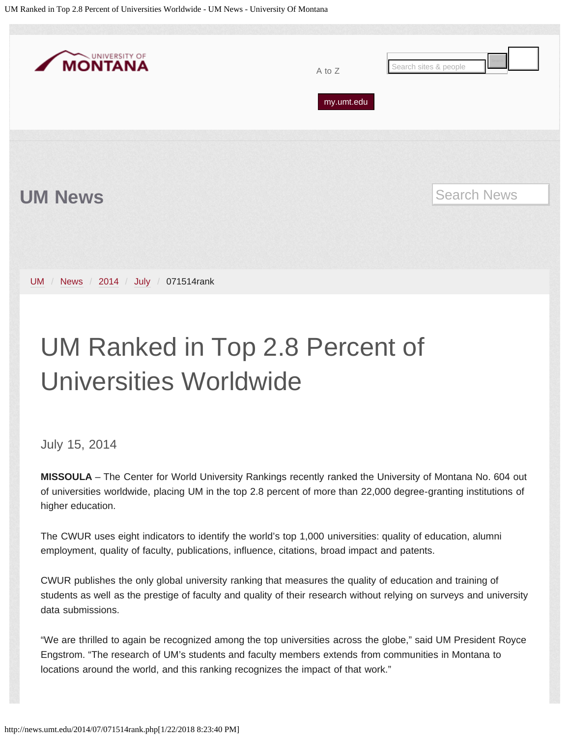<span id="page-35-0"></span>

## UM Ranked in Top 2.8 Percent of Universities Worldwide

## July 15, 2014

**MISSOULA** – The Center for World University Rankings recently ranked the University of Montana No. 604 out of universities worldwide, placing UM in the top 2.8 percent of more than 22,000 degree-granting institutions of higher education.

The CWUR uses eight indicators to identify the world's top 1,000 universities: quality of education, alumni employment, quality of faculty, publications, influence, citations, broad impact and patents.

CWUR publishes the only global university ranking that measures the quality of education and training of students as well as the prestige of faculty and quality of their research without relying on surveys and university data submissions.

"We are thrilled to again be recognized among the top universities across the globe," said UM President Royce Engstrom. "The research of UM's students and faculty members extends from communities in Montana to locations around the world, and this ranking recognizes the impact of that work."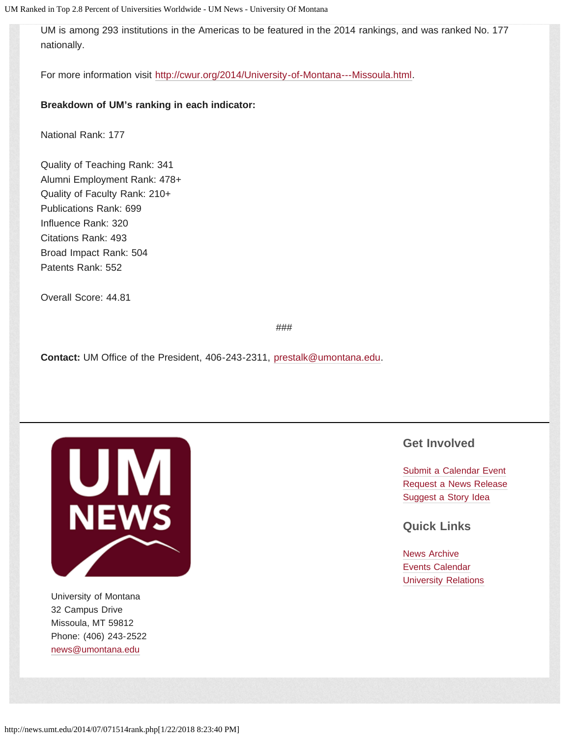UM Ranked in Top 2.8 Percent of Universities Worldwide - UM News - University Of Montana

UM is among 293 institutions in the Americas to be featured in the 2014 rankings, and was ranked No. 177 nationally.

For more information visit [http://cwur.org/2014/University-of-Montana---Missoula.html.](http://cwur.org/2014/University-of-Montana---Missoula.html)

#### **Breakdown of UM's ranking in each indicator:**

National Rank: 177

Quality of Teaching Rank: 341 Alumni Employment Rank: 478+ Quality of Faculty Rank: 210+ Publications Rank: 699 Influence Rank: 320 Citations Rank: 493 Broad Impact Rank: 504 Patents Rank: 552

Overall Score: 44.81

###

**Contact:** UM Office of the President, 406-243-2311, [prestalk@umontana.edu](mailto:prestalk@umontana.edu).



University of Montana 32 Campus Drive Missoula, MT 59812 Phone: (406) 243-2522 [news@umontana.edu](mailto:news@umontana.edu)

#### **Get Involved**

[Submit a Calendar Event](http://umt.edu/urelations/info/submit_event.php) [Request a News Release](mailto:news@umontana.edu) [Suggest a Story Idea](mailto:thrive@umontana.edu)

**Quick Links**

[News Archive](http://www.umt.edu/urelations/pubs/NewsArchives.php) [Events Calendar](http://events.umt.edu/) [University Relations](http://www.umt.edu/urelations/)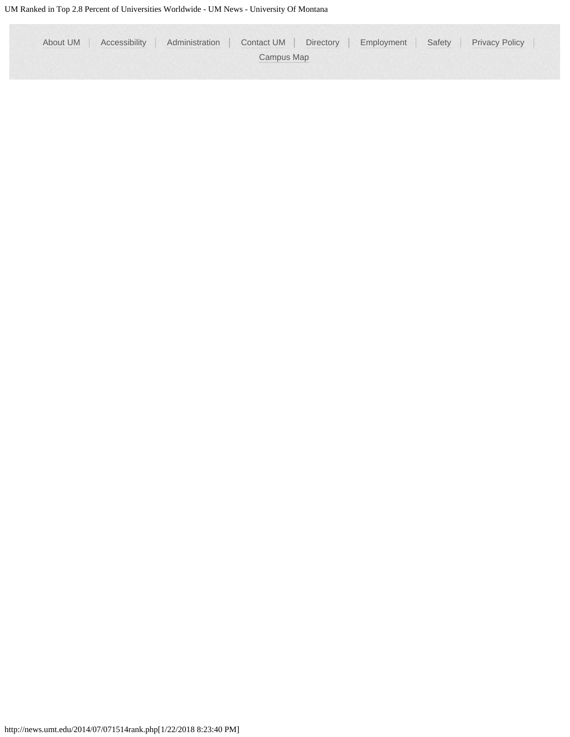|  | About UM   Accessibility   Administration   Contact UM   Directory   Employment   Safety   Privacy Policy |            |  |  |
|--|-----------------------------------------------------------------------------------------------------------|------------|--|--|
|  |                                                                                                           | Campus Map |  |  |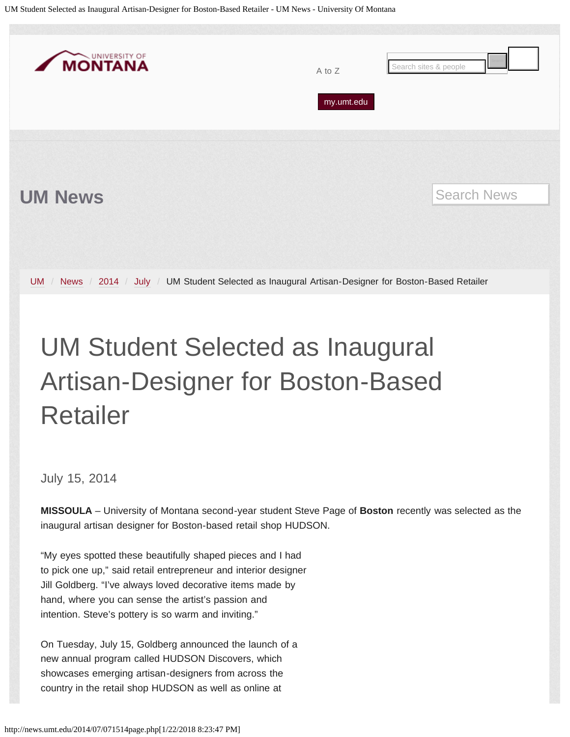<span id="page-38-0"></span>UM Student Selected as Inaugural Artisan-Designer for Boston-Based Retailer - UM News - University Of Montana



# UM Student Selected as Inaugural Artisan-Designer for Boston-Based Retailer

## July 15, 2014

**MISSOULA** – University of Montana second-year student Steve Page of **Boston** recently was selected as the inaugural artisan designer for Boston-based retail shop HUDSON.

"My eyes spotted these beautifully shaped pieces and I had to pick one up," said retail entrepreneur and interior designer Jill Goldberg. "I've always loved decorative items made by hand, where you can sense the artist's passion and intention. Steve's pottery is so warm and inviting."

On Tuesday, July 15, Goldberg announced the launch of a new annual program called HUDSON Discovers, which showcases emerging artisan-designers from across the country in the retail shop HUDSON as well as online at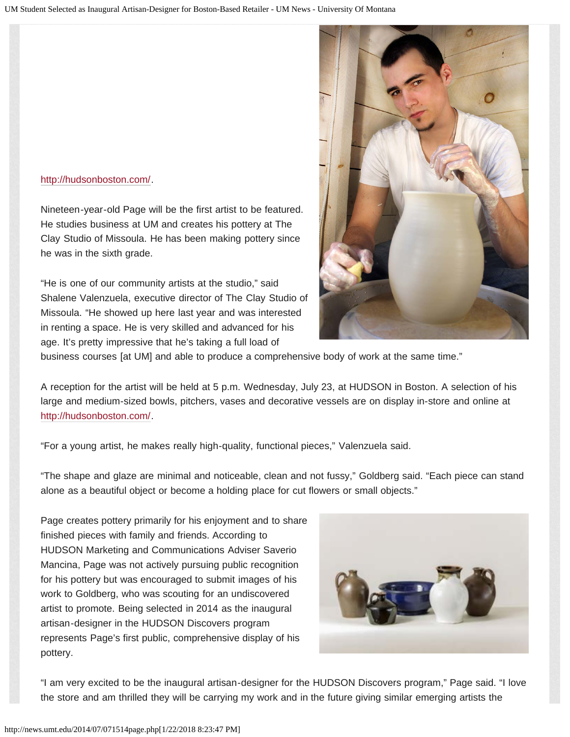### [http://hudsonboston.com/.](http://hudsonboston.com/)

Nineteen-year-old Page will be the first artist to be featured. He studies business at UM and creates his pottery at The Clay Studio of Missoula. He has been making pottery since he was in the sixth grade.

"He is one of our community artists at the studio," said Shalene Valenzuela, executive director of The Clay Studio of Missoula. "He showed up here last year and was interested in renting a space. He is very skilled and advanced for his age. It's pretty impressive that he's taking a full load of



business courses [at UM] and able to produce a comprehensive body of work at the same time."

A reception for the artist will be held at 5 p.m. Wednesday, July 23, at HUDSON in Boston. A selection of his large and medium-sized bowls, pitchers, vases and decorative vessels are on display in-store and online at [http://hudsonboston.com/.](http://hudsonboston.com/)

"For a young artist, he makes really high-quality, functional pieces," Valenzuela said.

"The shape and glaze are minimal and noticeable, clean and not fussy," Goldberg said. "Each piece can stand alone as a beautiful object or become a holding place for cut flowers or small objects."

Page creates pottery primarily for his enjoyment and to share finished pieces with family and friends. According to HUDSON Marketing and Communications Adviser Saverio Mancina, Page was not actively pursuing public recognition for his pottery but was encouraged to submit images of his work to Goldberg, who was scouting for an undiscovered artist to promote. Being selected in 2014 as the inaugural artisan-designer in the HUDSON Discovers program represents Page's first public, comprehensive display of his pottery.



"I am very excited to be the inaugural artisan-designer for the HUDSON Discovers program," Page said. "I love the store and am thrilled they will be carrying my work and in the future giving similar emerging artists the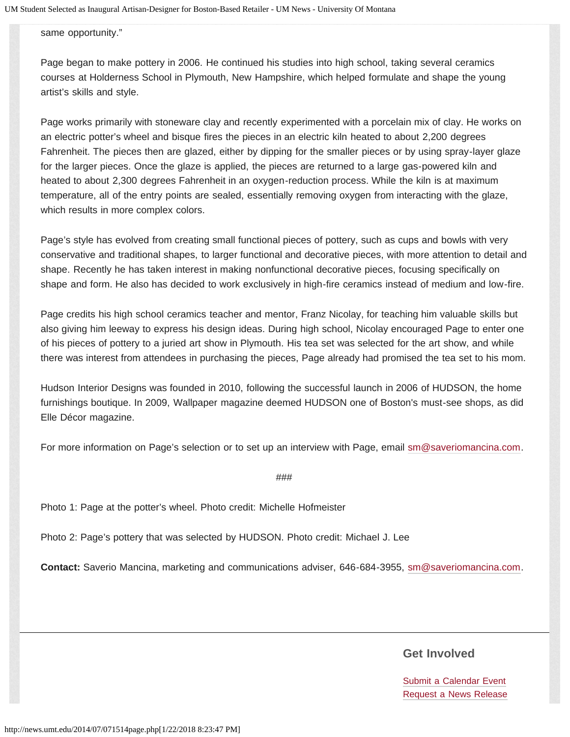#### same opportunity."

Page began to make pottery in 2006. He continued his studies into high school, taking several ceramics courses at Holderness School in Plymouth, New Hampshire, which helped formulate and shape the young artist's skills and style.

Page works primarily with stoneware clay and recently experimented with a porcelain mix of clay. He works on an electric potter's wheel and bisque fires the pieces in an electric kiln heated to about 2,200 degrees Fahrenheit. The pieces then are glazed, either by dipping for the smaller pieces or by using spray-layer glaze for the larger pieces. Once the glaze is applied, the pieces are returned to a large gas-powered kiln and heated to about 2,300 degrees Fahrenheit in an oxygen-reduction process. While the kiln is at maximum temperature, all of the entry points are sealed, essentially removing oxygen from interacting with the glaze, which results in more complex colors.

Page's style has evolved from creating small functional pieces of pottery, such as cups and bowls with very conservative and traditional shapes, to larger functional and decorative pieces, with more attention to detail and shape. Recently he has taken interest in making nonfunctional decorative pieces, focusing specifically on shape and form. He also has decided to work exclusively in high-fire ceramics instead of medium and low-fire.

Page credits his high school ceramics teacher and mentor, Franz Nicolay, for teaching him valuable skills but also giving him leeway to express his design ideas. During high school, Nicolay encouraged Page to enter one of his pieces of pottery to a juried art show in Plymouth. His tea set was selected for the art show, and while there was interest from attendees in purchasing the pieces, Page already had promised the tea set to his mom.

Hudson Interior Designs was founded in 2010, following the successful launch in 2006 of HUDSON, the home furnishings boutique. In 2009, Wallpaper magazine deemed HUDSON one of Boston's must-see shops, as did Elle Décor magazine.

For more information on Page's selection or to set up an interview with Page, email [sm@saveriomancina.com.](mailto:sm@saveriomancina.com)

###

Photo 1: Page at the potter's wheel. Photo credit: Michelle Hofmeister

Photo 2: Page's pottery that was selected by HUDSON. Photo credit: Michael J. Lee

**Contact:** Saverio Mancina, marketing and communications adviser, 646-684-3955, [sm@saveriomancina.com.](mailto:sm@saveriomancina.com)

### **Get Involved**

[Submit a Calendar Event](http://umt.edu/urelations/info/submit_event.php) [Request a News Release](mailto:news@umontana.edu)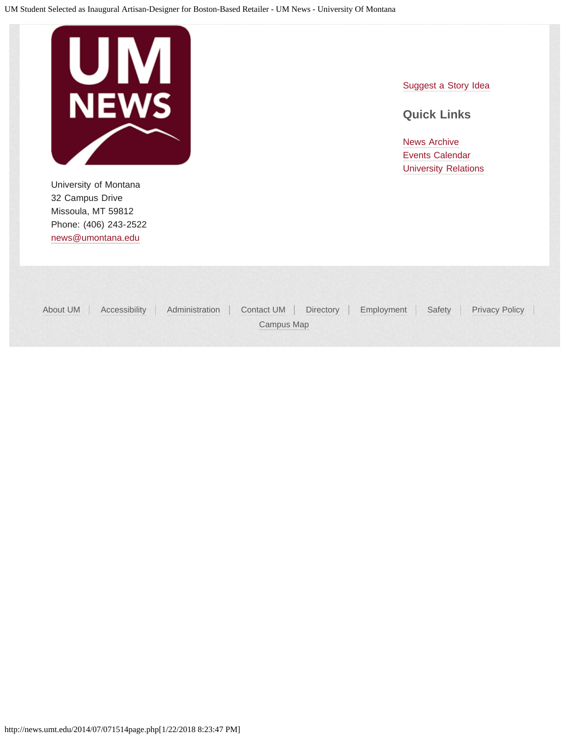

University of Montana 32 Campus Drive Missoula, MT 59812 Phone: (406) 243-2522 [news@umontana.edu](mailto:news@umontana.edu)

#### [Suggest a Story Idea](mailto:thrive@umontana.edu)

### **Quick Links**

[News Archive](http://www.umt.edu/urelations/pubs/NewsArchives.php) [Events Calendar](http://events.umt.edu/) [University Relations](http://www.umt.edu/urelations/)

| About UM   | Accessibility Administration Contact UM Directory Employment Safety Privacy Policy |  |  |  |  |  |  |  |
|------------|------------------------------------------------------------------------------------|--|--|--|--|--|--|--|
| Campus Map |                                                                                    |  |  |  |  |  |  |  |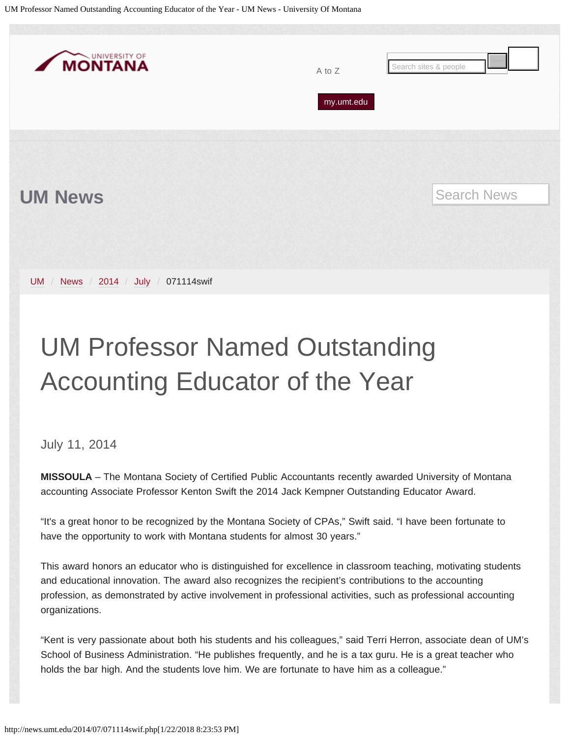<span id="page-42-0"></span>UM Professor Named Outstanding Accounting Educator of the Year - UM News - University Of Montana



## UM Professor Named Outstanding Accounting Educator of the Year

July 11, 2014

**MISSOULA** – The Montana Society of Certified Public Accountants recently awarded University of Montana accounting Associate Professor Kenton Swift the 2014 Jack Kempner Outstanding Educator Award.

"It's a great honor to be recognized by the Montana Society of CPAs," Swift said. "I have been fortunate to have the opportunity to work with Montana students for almost 30 years."

This award honors an educator who is distinguished for excellence in classroom teaching, motivating students and educational innovation. The award also recognizes the recipient's contributions to the accounting profession, as demonstrated by active involvement in professional activities, such as professional accounting organizations.

"Kent is very passionate about both his students and his colleagues," said Terri Herron, associate dean of UM's School of Business Administration. "He publishes frequently, and he is a tax guru. He is a great teacher who holds the bar high. And the students love him. We are fortunate to have him as a colleague."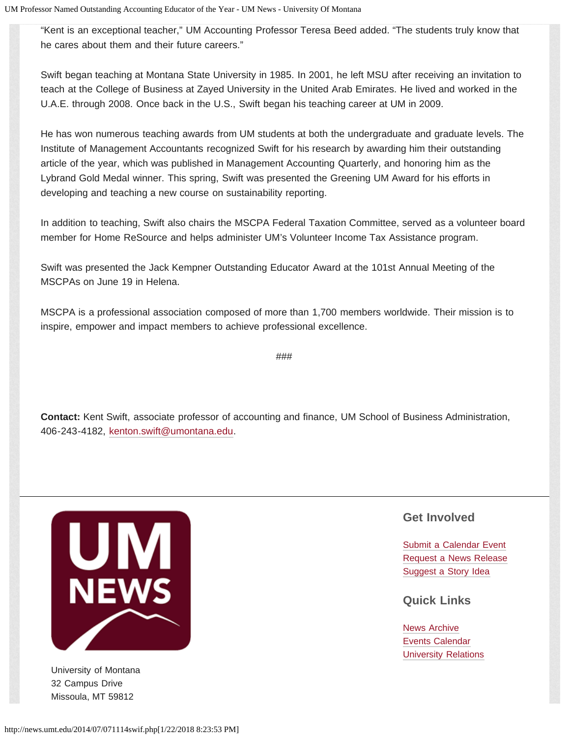"Kent is an exceptional teacher," UM Accounting Professor Teresa Beed added. "The students truly know that he cares about them and their future careers."

Swift began teaching at Montana State University in 1985. In 2001, he left MSU after receiving an invitation to teach at the College of Business at Zayed University in the United Arab Emirates. He lived and worked in the U.A.E. through 2008. Once back in the U.S., Swift began his teaching career at UM in 2009.

He has won numerous teaching awards from UM students at both the undergraduate and graduate levels. The Institute of Management Accountants recognized Swift for his research by awarding him their outstanding article of the year, which was published in Management Accounting Quarterly, and honoring him as the Lybrand Gold Medal winner. This spring, Swift was presented the Greening UM Award for his efforts in developing and teaching a new course on sustainability reporting.

In addition to teaching, Swift also chairs the MSCPA Federal Taxation Committee, served as a volunteer board member for Home ReSource and helps administer UM's Volunteer Income Tax Assistance program.

Swift was presented the Jack Kempner Outstanding Educator Award at the 101st Annual Meeting of the MSCPAs on June 19 in Helena.

MSCPA is a professional association composed of more than 1,700 members worldwide. Their mission is to inspire, empower and impact members to achieve professional excellence.

###

**Contact:** Kent Swift, associate professor of accounting and finance, UM School of Business Administration, 406-243-4182, [kenton.swift@umontana.edu.](mailto:kenton.swift@umontana.edu)



University of Montana 32 Campus Drive Missoula, MT 59812

### **Get Involved**

[Submit a Calendar Event](http://umt.edu/urelations/info/submit_event.php) [Request a News Release](mailto:news@umontana.edu) [Suggest a Story Idea](mailto:thrive@umontana.edu)

**Quick Links**

[News Archive](http://www.umt.edu/urelations/pubs/NewsArchives.php) [Events Calendar](http://events.umt.edu/) [University Relations](http://www.umt.edu/urelations/)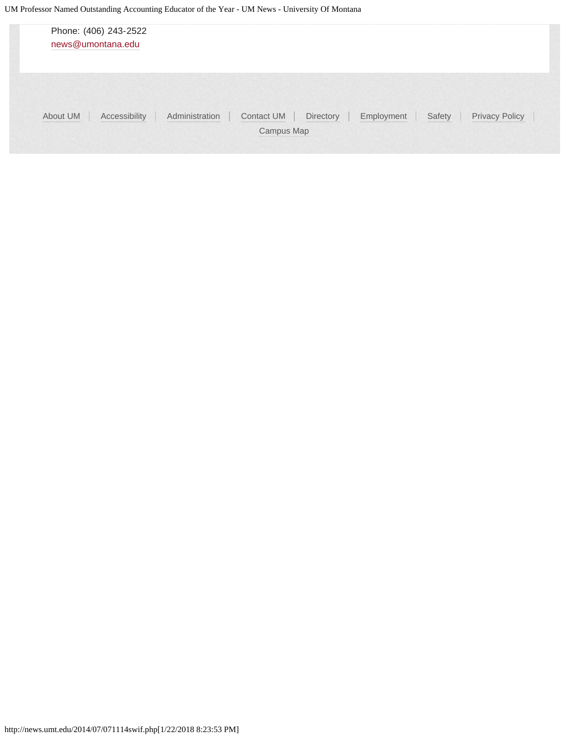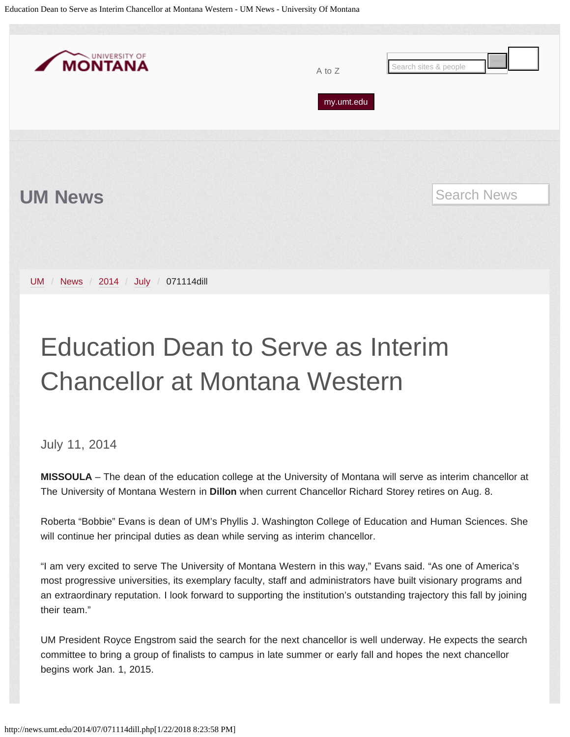<span id="page-45-0"></span>Education Dean to Serve as Interim Chancellor at Montana Western - UM News - University Of Montana



## Education Dean to Serve as Interim Chancellor at Montana Western

July 11, 2014

**MISSOULA** – The dean of the education college at the University of Montana will serve as interim chancellor at The University of Montana Western in **Dillon** when current Chancellor Richard Storey retires on Aug. 8.

Roberta "Bobbie" Evans is dean of UM's Phyllis J. Washington College of Education and Human Sciences. She will continue her principal duties as dean while serving as interim chancellor.

"I am very excited to serve The University of Montana Western in this way," Evans said. "As one of America's most progressive universities, its exemplary faculty, staff and administrators have built visionary programs and an extraordinary reputation. I look forward to supporting the institution's outstanding trajectory this fall by joining their team."

UM President Royce Engstrom said the search for the next chancellor is well underway. He expects the search committee to bring a group of finalists to campus in late summer or early fall and hopes the next chancellor begins work Jan. 1, 2015.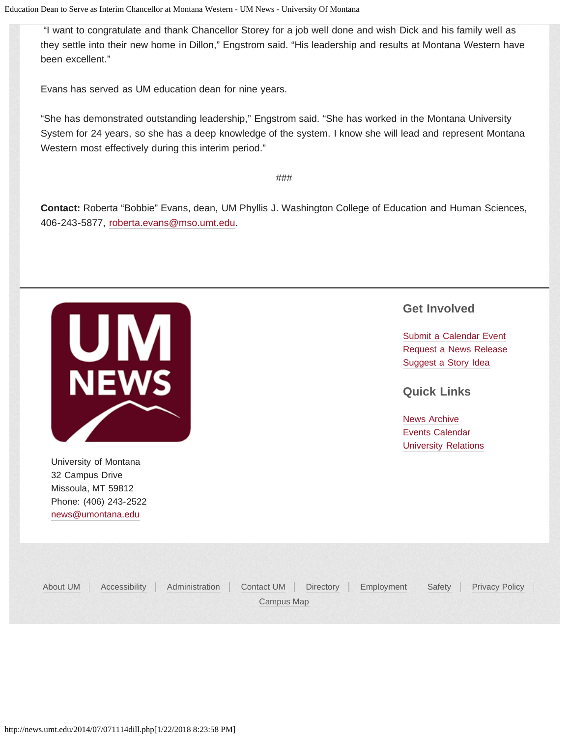"I want to congratulate and thank Chancellor Storey for a job well done and wish Dick and his family well as they settle into their new home in Dillon," Engstrom said. "His leadership and results at Montana Western have been excellent."

Evans has served as UM education dean for nine years.

"She has demonstrated outstanding leadership," Engstrom said. "She has worked in the Montana University System for 24 years, so she has a deep knowledge of the system. I know she will lead and represent Montana Western most effectively during this interim period."

###

**Contact:** Roberta "Bobbie" Evans, dean, UM Phyllis J. Washington College of Education and Human Sciences, 406-243-5877, [roberta.evans@mso.umt.edu](mailto:roberta.evans@mso.umt.edu).

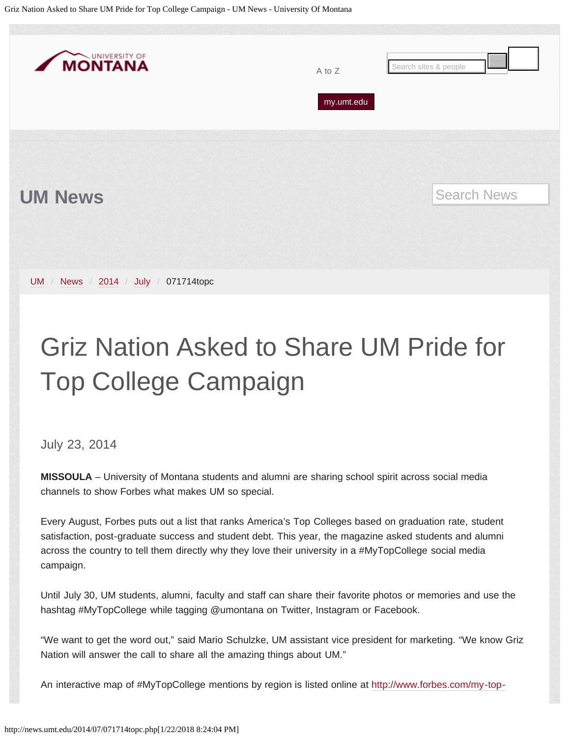<span id="page-47-0"></span>Griz Nation Asked to Share UM Pride for Top College Campaign - UM News - University Of Montana



# Griz Nation Asked to Share UM Pride for Top College Campaign

July 23, 2014

**MISSOULA** – University of Montana students and alumni are sharing school spirit across social media channels to show Forbes what makes UM so special.

Every August, Forbes puts out a list that ranks America's Top Colleges based on graduation rate, student satisfaction, post-graduate success and student debt. This year, the magazine asked students and alumni across the country to tell them directly why they love their university in a #MyTopCollege social media campaign.

Until July 30, UM students, alumni, faculty and staff can share their favorite photos or memories and use the hashtag #MyTopCollege while tagging @umontana on Twitter, Instagram or Facebook.

"We want to get the word out," said Mario Schulzke, UM assistant vice president for marketing. "We know Griz Nation will answer the call to share all the amazing things about UM."

An interactive map of #MyTopCollege mentions by region is listed online at [http://www.forbes.com/my-top-](http://www.forbes.com/my-top-college)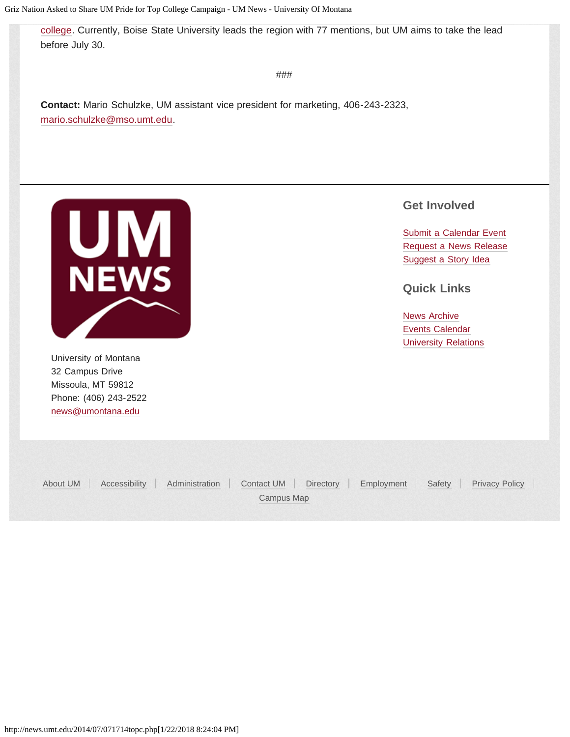[college.](http://www.forbes.com/my-top-college) Currently, Boise State University leads the region with 77 mentions, but UM aims to take the lead before July 30.

###

**Contact:** Mario Schulzke, UM assistant vice president for marketing, 406-243-2323, [mario.schulzke@mso.umt.edu.](mailto:mario.schulzke@mso.umt.edu)



[Campus Map](http://map.umt.edu/)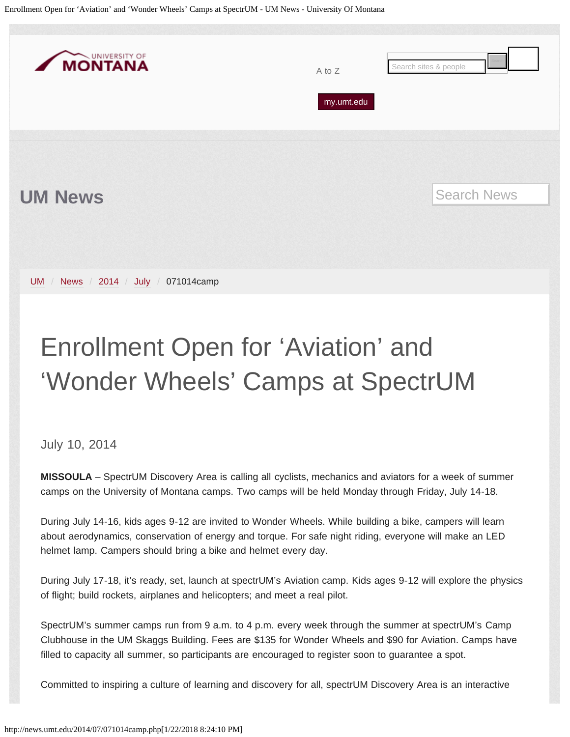<span id="page-49-0"></span>Enrollment Open for 'Aviation' and 'Wonder Wheels' Camps at SpectrUM - UM News - University Of Montana



# Enrollment Open for 'Aviation' and 'Wonder Wheels' Camps at SpectrUM

July 10, 2014

**MISSOULA** – SpectrUM Discovery Area is calling all cyclists, mechanics and aviators for a week of summer camps on the University of Montana camps. Two camps will be held Monday through Friday, July 14-18.

During July 14-16, kids ages 9-12 are invited to Wonder Wheels. While building a bike, campers will learn about aerodynamics, conservation of energy and torque. For safe night riding, everyone will make an LED helmet lamp. Campers should bring a bike and helmet every day.

During July 17-18, it's ready, set, launch at spectrUM's Aviation camp. Kids ages 9-12 will explore the physics of flight; build rockets, airplanes and helicopters; and meet a real pilot.

SpectrUM's summer camps run from 9 a.m. to 4 p.m. every week through the summer at spectrUM's Camp Clubhouse in the UM Skaggs Building. Fees are \$135 for Wonder Wheels and \$90 for Aviation. Camps have filled to capacity all summer, so participants are encouraged to register soon to guarantee a spot.

Committed to inspiring a culture of learning and discovery for all, spectrUM Discovery Area is an interactive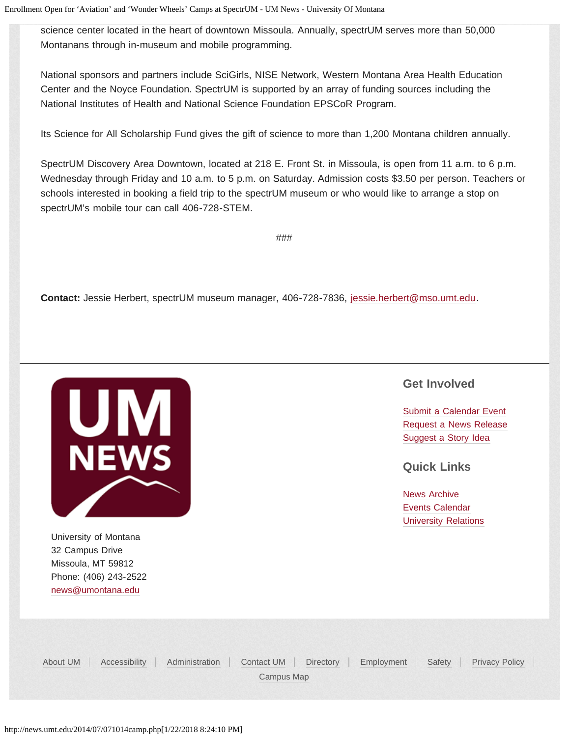science center located in the heart of downtown Missoula. Annually, spectrUM serves more than 50,000 Montanans through in-museum and mobile programming.

National sponsors and partners include SciGirls, NISE Network, Western Montana Area Health Education Center and the Noyce Foundation. SpectrUM is supported by an array of funding sources including the National Institutes of Health and National Science Foundation EPSCoR Program.

Its Science for All Scholarship Fund gives the gift of science to more than 1,200 Montana children annually.

SpectrUM Discovery Area Downtown, located at 218 E. Front St. in Missoula, is open from 11 a.m. to 6 p.m. Wednesday through Friday and 10 a.m. to 5 p.m. on Saturday. Admission costs \$3.50 per person. Teachers or schools interested in booking a field trip to the spectrUM museum or who would like to arrange a stop on spectrUM's mobile tour can call 406-728-STEM.

###

**Contact:** Jessie Herbert, spectrUM museum manager, 406-728-7836, [jessie.herbert@mso.umt.edu.](mailto:jessie.herbert@mso.umt.edu)



University of Montana 32 Campus Drive Missoula, MT 59812 Phone: (406) 243-2522 [news@umontana.edu](mailto:news@umontana.edu)

### **Get Involved**

[Submit a Calendar Event](http://umt.edu/urelations/info/submit_event.php) [Request a News Release](mailto:news@umontana.edu) [Suggest a Story Idea](mailto:thrive@umontana.edu)

### **Quick Links**

[News Archive](http://www.umt.edu/urelations/pubs/NewsArchives.php) [Events Calendar](http://events.umt.edu/) [University Relations](http://www.umt.edu/urelations/)

[About UM](http://www.umt.edu/about) | [Accessibility](http://www.umt.edu/accessibility/) | [Administration](http://www.umt.edu/administration) | [Contact UM](http://www.umt.edu/comments) | [Directory](http://www.umt.edu/directory) | [Employment](http://www.umt.edu/jobs) | [Safety](http://www.umt.edu/safety/) | [Privacy Policy](http://umt.edu/privacy/) | [Campus Map](http://map.umt.edu/)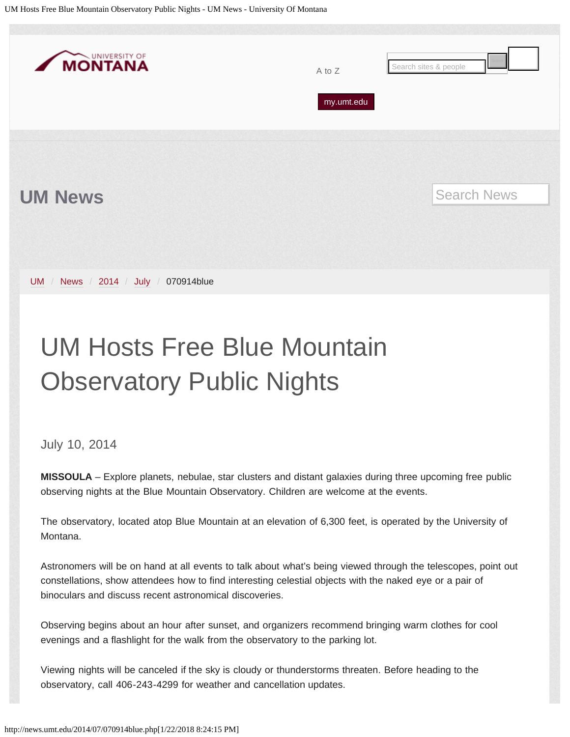<span id="page-51-0"></span>

## UM Hosts Free Blue Mountain Observatory Public Nights

## July 10, 2014

**MISSOULA** – Explore planets, nebulae, star clusters and distant galaxies during three upcoming free public observing nights at the Blue Mountain Observatory. Children are welcome at the events.

The observatory, located atop Blue Mountain at an elevation of 6,300 feet, is operated by the University of Montana.

Astronomers will be on hand at all events to talk about what's being viewed through the telescopes, point out constellations, show attendees how to find interesting celestial objects with the naked eye or a pair of binoculars and discuss recent astronomical discoveries.

Observing begins about an hour after sunset, and organizers recommend bringing warm clothes for cool evenings and a flashlight for the walk from the observatory to the parking lot.

Viewing nights will be canceled if the sky is cloudy or thunderstorms threaten. Before heading to the observatory, call 406-243-4299 for weather and cancellation updates.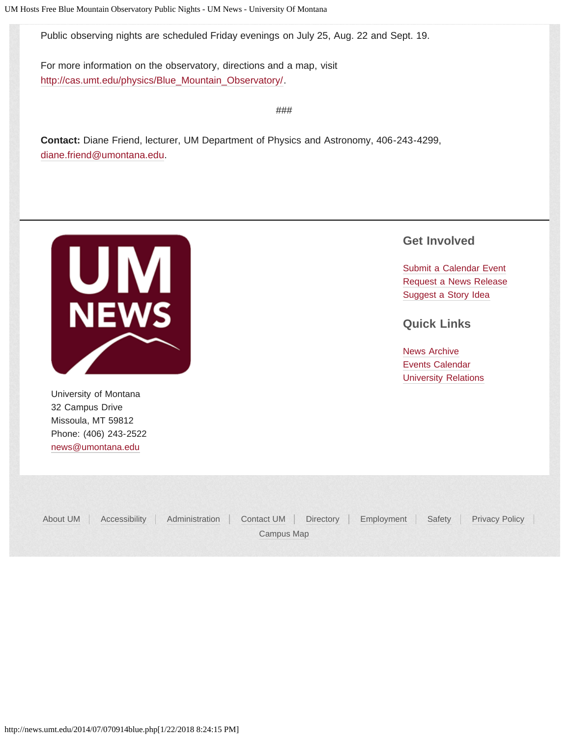Public observing nights are scheduled Friday evenings on July 25, Aug. 22 and Sept. 19.

For more information on the observatory, directions and a map, visit [http://cas.umt.edu/physics/Blue\\_Mountain\\_Observatory/.](http://cas.umt.edu/physics/Blue_Mountain_Observatory/)

###

**Contact:** Diane Friend, lecturer, UM Department of Physics and Astronomy, 406-243-4299, [diane.friend@umontana.edu.](mailto:diane.friend@umontana.edu)

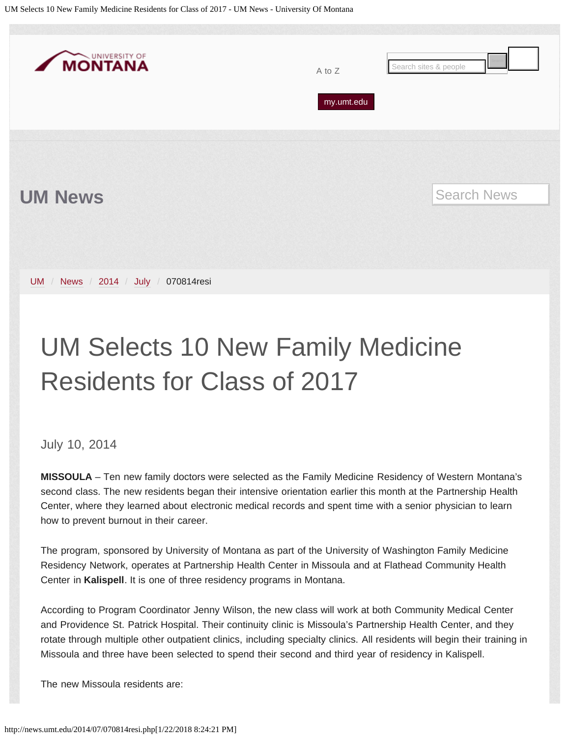<span id="page-53-0"></span>

## UM Selects 10 New Family Medicine Residents for Class of 2017

## July 10, 2014

**MISSOULA** – Ten new family doctors were selected as the Family Medicine Residency of Western Montana's second class. The new residents began their intensive orientation earlier this month at the Partnership Health Center, where they learned about electronic medical records and spent time with a senior physician to learn how to prevent burnout in their career.

The program, sponsored by University of Montana as part of the University of Washington Family Medicine Residency Network, operates at Partnership Health Center in Missoula and at Flathead Community Health Center in **Kalispell**. It is one of three residency programs in Montana.

According to Program Coordinator Jenny Wilson, the new class will work at both Community Medical Center and Providence St. Patrick Hospital. Their continuity clinic is Missoula's Partnership Health Center, and they rotate through multiple other outpatient clinics, including specialty clinics. All residents will begin their training in Missoula and three have been selected to spend their second and third year of residency in Kalispell.

The new Missoula residents are: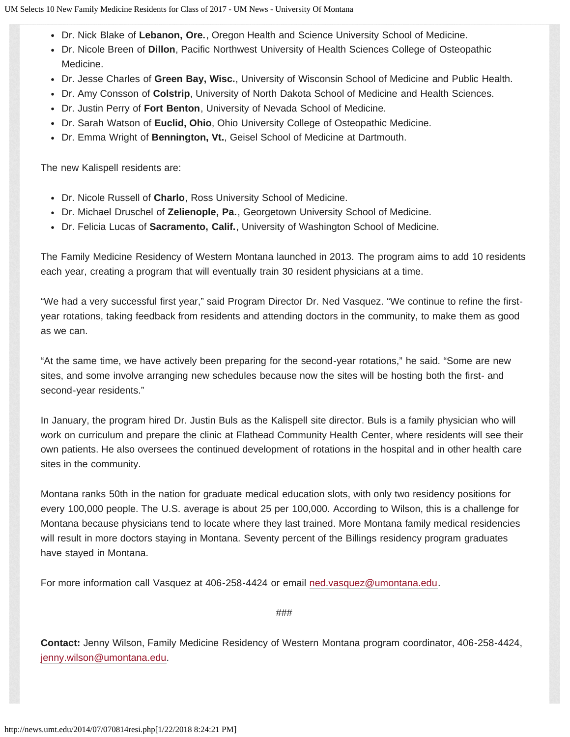- Dr. Nick Blake of **Lebanon, Ore.**, Oregon Health and Science University School of Medicine.
- Dr. Nicole Breen of **Dillon**, Pacific Northwest University of Health Sciences College of Osteopathic Medicine.
- Dr. Jesse Charles of **Green Bay, Wisc.**, University of Wisconsin School of Medicine and Public Health.
- Dr. Amy Consson of **Colstrip**, University of North Dakota School of Medicine and Health Sciences.
- Dr. Justin Perry of **Fort Benton**, University of Nevada School of Medicine.
- Dr. Sarah Watson of **Euclid, Ohio**, Ohio University College of Osteopathic Medicine.
- Dr. Emma Wright of **Bennington, Vt.**, Geisel School of Medicine at Dartmouth.

The new Kalispell residents are:

- Dr. Nicole Russell of **Charlo**, Ross University School of Medicine.
- Dr. Michael Druschel of **Zelienople, Pa.**, Georgetown University School of Medicine.
- Dr. Felicia Lucas of **Sacramento, Calif.**, University of Washington School of Medicine.

The Family Medicine Residency of Western Montana launched in 2013. The program aims to add 10 residents each year, creating a program that will eventually train 30 resident physicians at a time.

"We had a very successful first year," said Program Director Dr. Ned Vasquez. "We continue to refine the firstyear rotations, taking feedback from residents and attending doctors in the community, to make them as good as we can.

"At the same time, we have actively been preparing for the second-year rotations," he said. "Some are new sites, and some involve arranging new schedules because now the sites will be hosting both the first- and second-year residents."

In January, the program hired Dr. Justin Buls as the Kalispell site director. Buls is a family physician who will work on curriculum and prepare the clinic at Flathead Community Health Center, where residents will see their own patients. He also oversees the continued development of rotations in the hospital and in other health care sites in the community.

Montana ranks 50th in the nation for graduate medical education slots, with only two residency positions for every 100,000 people. The U.S. average is about 25 per 100,000. According to Wilson, this is a challenge for Montana because physicians tend to locate where they last trained. More Montana family medical residencies will result in more doctors staying in Montana. Seventy percent of the Billings residency program graduates have stayed in Montana.

For more information call Vasquez at 406-258-4424 or email [ned.vasquez@umontana.edu.](mailto:ned.vasquez@umontana.edu)

###

**Contact:** Jenny Wilson, Family Medicine Residency of Western Montana program coordinator, 406-258-4424, [jenny.wilson@umontana.edu.](mailto:jenny.wilson@umontana.edu)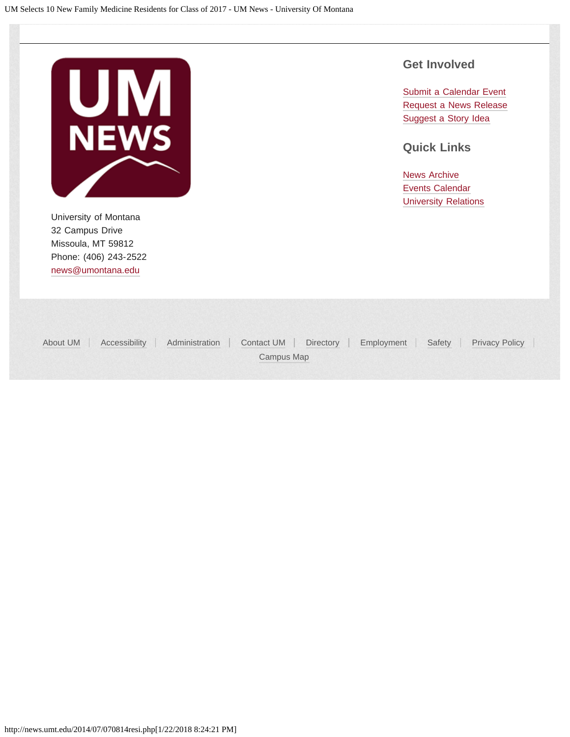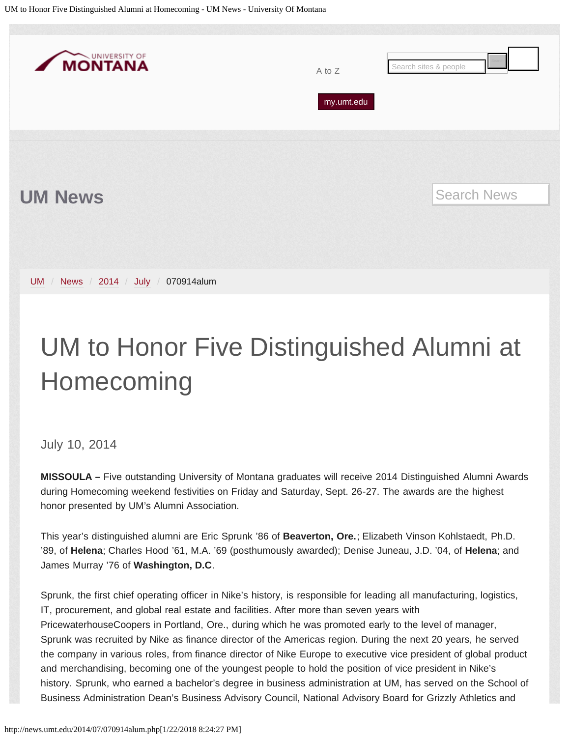<span id="page-56-0"></span>

# UM to Honor Five Distinguished Alumni at Homecoming

## July 10, 2014

**MISSOULA –** Five outstanding University of Montana graduates will receive 2014 Distinguished Alumni Awards during Homecoming weekend festivities on Friday and Saturday, Sept. 26-27. The awards are the highest honor presented by UM's Alumni Association.

This year's distinguished alumni are Eric Sprunk '86 of **Beaverton, Ore.**; Elizabeth Vinson Kohlstaedt, Ph.D. '89, of **Helena**; Charles Hood '61, M.A. '69 (posthumously awarded); Denise Juneau, J.D. '04, of **Helena**; and James Murray '76 of **Washington, D.C**.

Sprunk, the first chief operating officer in Nike's history, is responsible for leading all manufacturing, logistics, IT, procurement, and global real estate and facilities. After more than seven years with PricewaterhouseCoopers in Portland, Ore., during which he was promoted early to the level of manager, Sprunk was recruited by Nike as finance director of the Americas region. During the next 20 years, he served the company in various roles, from finance director of Nike Europe to executive vice president of global product and merchandising, becoming one of the youngest people to hold the position of vice president in Nike's history. Sprunk, who earned a bachelor's degree in business administration at UM, has served on the School of Business Administration Dean's Business Advisory Council, National Advisory Board for Grizzly Athletics and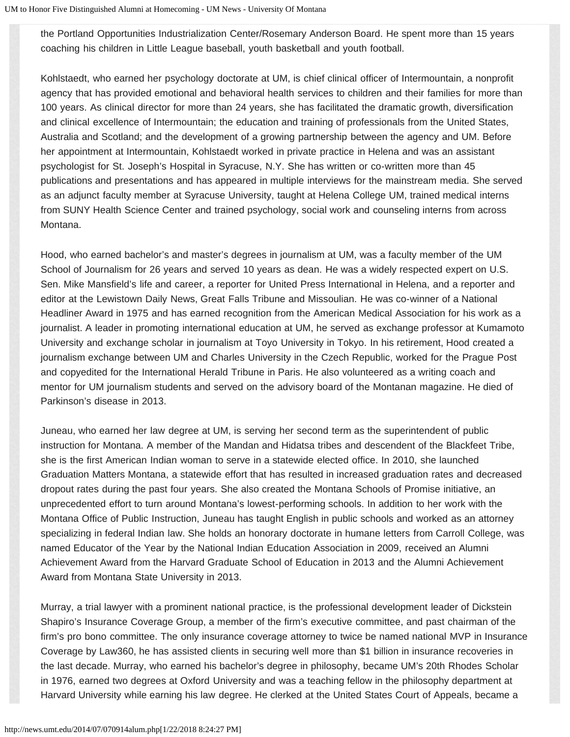the Portland Opportunities Industrialization Center/Rosemary Anderson Board. He spent more than 15 years coaching his children in Little League baseball, youth basketball and youth football.

Kohlstaedt, who earned her psychology doctorate at UM, is chief clinical officer of Intermountain, a nonprofit agency that has provided emotional and behavioral health services to children and their families for more than 100 years. As clinical director for more than 24 years, she has facilitated the dramatic growth, diversification and clinical excellence of Intermountain; the education and training of professionals from the United States, Australia and Scotland; and the development of a growing partnership between the agency and UM. Before her appointment at Intermountain, Kohlstaedt worked in private practice in Helena and was an assistant psychologist for St. Joseph's Hospital in Syracuse, N.Y. She has written or co-written more than 45 publications and presentations and has appeared in multiple interviews for the mainstream media. She served as an adjunct faculty member at Syracuse University, taught at Helena College UM, trained medical interns from SUNY Health Science Center and trained psychology, social work and counseling interns from across Montana.

Hood, who earned bachelor's and master's degrees in journalism at UM, was a faculty member of the UM School of Journalism for 26 years and served 10 years as dean. He was a widely respected expert on U.S. Sen. Mike Mansfield's life and career, a reporter for United Press International in Helena, and a reporter and editor at the Lewistown Daily News, Great Falls Tribune and Missoulian. He was co-winner of a National Headliner Award in 1975 and has earned recognition from the American Medical Association for his work as a journalist. A leader in promoting international education at UM, he served as exchange professor at Kumamoto University and exchange scholar in journalism at Toyo University in Tokyo. In his retirement, Hood created a journalism exchange between UM and Charles University in the Czech Republic, worked for the Prague Post and copyedited for the International Herald Tribune in Paris. He also volunteered as a writing coach and mentor for UM journalism students and served on the advisory board of the Montanan magazine. He died of Parkinson's disease in 2013.

Juneau, who earned her law degree at UM, is serving her second term as the superintendent of public instruction for Montana. A member of the Mandan and Hidatsa tribes and descendent of the Blackfeet Tribe, she is the first American Indian woman to serve in a statewide elected office. In 2010, she launched Graduation Matters Montana, a statewide effort that has resulted in increased graduation rates and decreased dropout rates during the past four years. She also created the Montana Schools of Promise initiative, an unprecedented effort to turn around Montana's lowest-performing schools. In addition to her work with the Montana Office of Public Instruction, Juneau has taught English in public schools and worked as an attorney specializing in federal Indian law. She holds an honorary doctorate in humane letters from Carroll College, was named Educator of the Year by the National Indian Education Association in 2009, received an Alumni Achievement Award from the Harvard Graduate School of Education in 2013 and the Alumni Achievement Award from Montana State University in 2013.

Murray, a trial lawyer with a prominent national practice, is the professional development leader of Dickstein Shapiro's Insurance Coverage Group, a member of the firm's executive committee, and past chairman of the firm's pro bono committee. The only insurance coverage attorney to twice be named national MVP in Insurance Coverage by Law360, he has assisted clients in securing well more than \$1 billion in insurance recoveries in the last decade. Murray, who earned his bachelor's degree in philosophy, became UM's 20th Rhodes Scholar in 1976, earned two degrees at Oxford University and was a teaching fellow in the philosophy department at Harvard University while earning his law degree. He clerked at the United States Court of Appeals, became a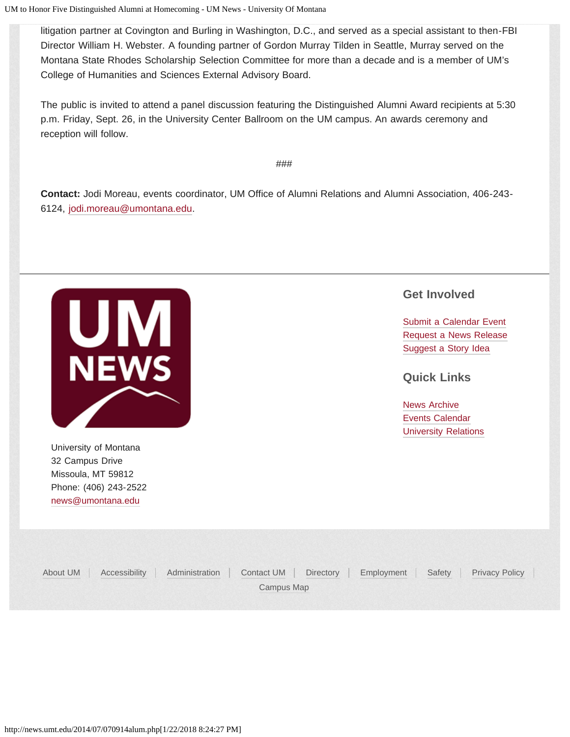litigation partner at Covington and Burling in Washington, D.C., and served as a special assistant to then-FBI Director William H. Webster. A founding partner of Gordon Murray Tilden in Seattle, Murray served on the Montana State Rhodes Scholarship Selection Committee for more than a decade and is a member of UM's College of Humanities and Sciences External Advisory Board.

The public is invited to attend a panel discussion featuring the Distinguished Alumni Award recipients at 5:30 p.m. Friday, Sept. 26, in the University Center Ballroom on the UM campus. An awards ceremony and reception will follow.

###

**Contact:** Jodi Moreau, events coordinator, UM Office of Alumni Relations and Alumni Association, 406-243- 6124, [jodi.moreau@umontana.edu.](mailto:jodi.moreau@umontana.edu)

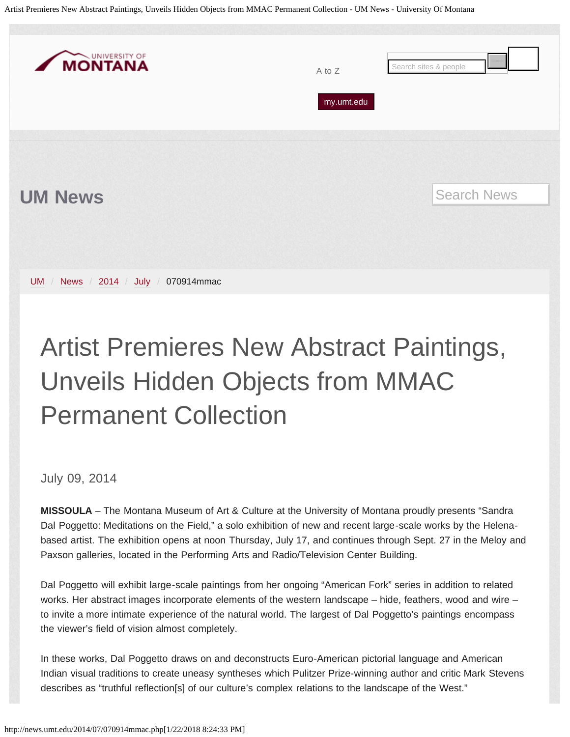<span id="page-59-0"></span>Artist Premieres New Abstract Paintings, Unveils Hidden Objects from MMAC Permanent Collection - UM News - University Of Montana



# Artist Premieres New Abstract Paintings, Unveils Hidden Objects from MMAC Permanent Collection

## July 09, 2014

**MISSOULA** – The Montana Museum of Art & Culture at the University of Montana proudly presents "Sandra Dal Poggetto: Meditations on the Field," a solo exhibition of new and recent large-scale works by the Helenabased artist. The exhibition opens at noon Thursday, July 17, and continues through Sept. 27 in the Meloy and Paxson galleries, located in the Performing Arts and Radio/Television Center Building.

Dal Poggetto will exhibit large-scale paintings from her ongoing "American Fork" series in addition to related works. Her abstract images incorporate elements of the western landscape – hide, feathers, wood and wire – to invite a more intimate experience of the natural world. The largest of Dal Poggetto's paintings encompass the viewer's field of vision almost completely.

In these works, Dal Poggetto draws on and deconstructs Euro-American pictorial language and American Indian visual traditions to create uneasy syntheses which Pulitzer Prize-winning author and critic Mark Stevens describes as "truthful reflection[s] of our culture's complex relations to the landscape of the West."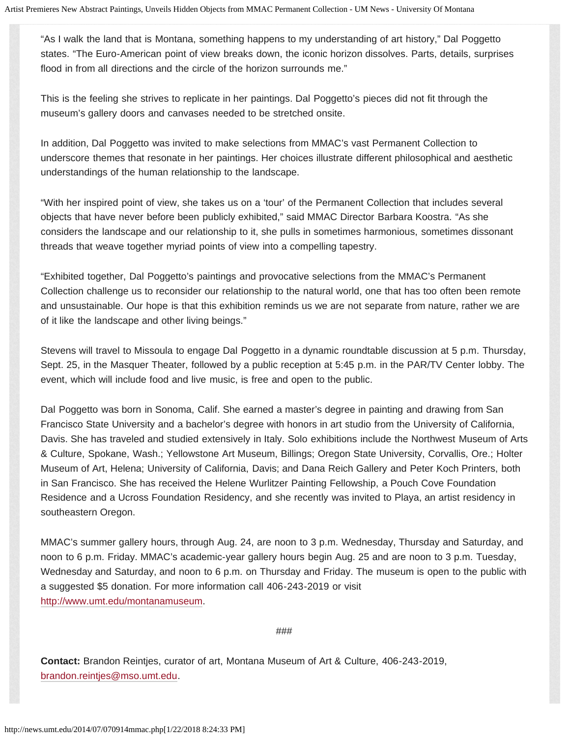"As I walk the land that is Montana, something happens to my understanding of art history," Dal Poggetto states. "The Euro-American point of view breaks down, the iconic horizon dissolves. Parts, details, surprises flood in from all directions and the circle of the horizon surrounds me."

This is the feeling she strives to replicate in her paintings. Dal Poggetto's pieces did not fit through the museum's gallery doors and canvases needed to be stretched onsite.

In addition, Dal Poggetto was invited to make selections from MMAC's vast Permanent Collection to underscore themes that resonate in her paintings. Her choices illustrate different philosophical and aesthetic understandings of the human relationship to the landscape.

"With her inspired point of view, she takes us on a 'tour' of the Permanent Collection that includes several objects that have never before been publicly exhibited," said MMAC Director Barbara Koostra. "As she considers the landscape and our relationship to it, she pulls in sometimes harmonious, sometimes dissonant threads that weave together myriad points of view into a compelling tapestry.

"Exhibited together, Dal Poggetto's paintings and provocative selections from the MMAC's Permanent Collection challenge us to reconsider our relationship to the natural world, one that has too often been remote and unsustainable. Our hope is that this exhibition reminds us we are not separate from nature, rather we are of it like the landscape and other living beings."

Stevens will travel to Missoula to engage Dal Poggetto in a dynamic roundtable discussion at 5 p.m. Thursday, Sept. 25, in the Masquer Theater, followed by a public reception at 5:45 p.m. in the PAR/TV Center lobby. The event, which will include food and live music, is free and open to the public.

Dal Poggetto was born in Sonoma, Calif. She earned a master's degree in painting and drawing from San Francisco State University and a bachelor's degree with honors in art studio from the University of California, Davis. She has traveled and studied extensively in Italy. Solo exhibitions include the Northwest Museum of Arts & Culture, Spokane, Wash.; Yellowstone Art Museum, Billings; Oregon State University, Corvallis, Ore.; Holter Museum of Art, Helena; University of California, Davis; and Dana Reich Gallery and Peter Koch Printers, both in San Francisco. She has received the Helene Wurlitzer Painting Fellowship, a Pouch Cove Foundation Residence and a Ucross Foundation Residency, and she recently was invited to Playa, an artist residency in southeastern Oregon.

MMAC's summer gallery hours, through Aug. 24, are noon to 3 p.m. Wednesday, Thursday and Saturday, and noon to 6 p.m. Friday. MMAC's academic-year gallery hours begin Aug. 25 and are noon to 3 p.m. Tuesday, Wednesday and Saturday, and noon to 6 p.m. on Thursday and Friday. The museum is open to the public with a suggested \$5 donation. For more information call 406-243-2019 or visit [http://www.umt.edu/montanamuseum.](http://www.umt.edu/montanamuseum)

###

**Contact:** Brandon Reintjes, curator of art, Montana Museum of Art & Culture, 406-243-2019, [brandon.reintjes@mso.umt.edu.](mailto:brandon.reintjes@mso.umt.edu)